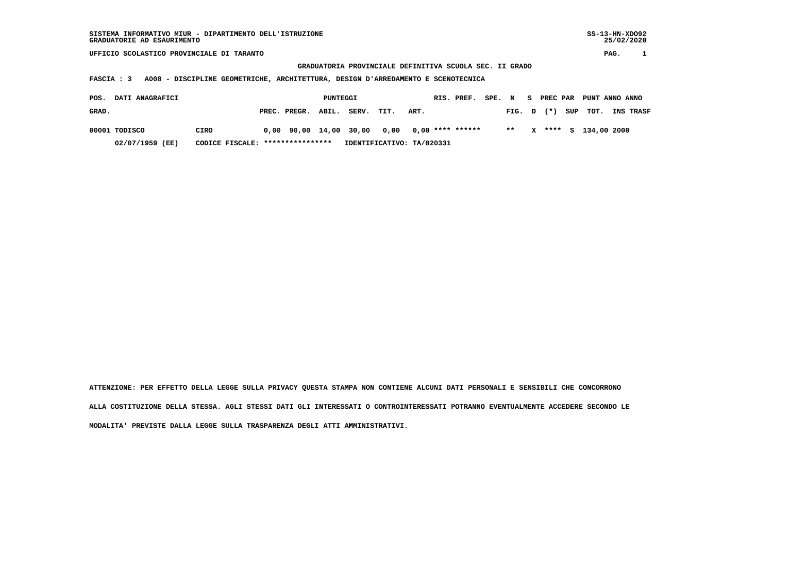**GRADUATORIA PROVINCIALE DEFINITIVA SCUOLA SEC. II GRADO**

 **FASCIA : 3 A008 - DISCIPLINE GEOMETRICHE, ARCHITETTURA, DESIGN D'ARREDAMENTO E SCENOTECNICA**

| POS.  | DATI ANAGRAFICI |                                  |                    | PUNTEGGI |                                                   |      |      | RIS. PREF. SPE. N S PREC PAR PUNT ANNO ANNO |  |  |                      |                               |
|-------|-----------------|----------------------------------|--------------------|----------|---------------------------------------------------|------|------|---------------------------------------------|--|--|----------------------|-------------------------------|
| GRAD. |                 |                                  | PREC. PREGR. ABIL. |          | SERV.                                             | TIT. | ART. |                                             |  |  |                      | FIG. D (*) SUP TOT. INS TRASF |
|       | 00001 TODISCO   | <b>CIRO</b>                      |                    |          | $0,00$ 90,00 14,00 30,00 0,00 0,00 **** ****** ** |      |      |                                             |  |  | X **** S 134,00 2000 |                               |
|       | 02/07/1959 (EE) | CODICE FISCALE: **************** |                    |          | IDENTIFICATIVO: TA/020331                         |      |      |                                             |  |  |                      |                               |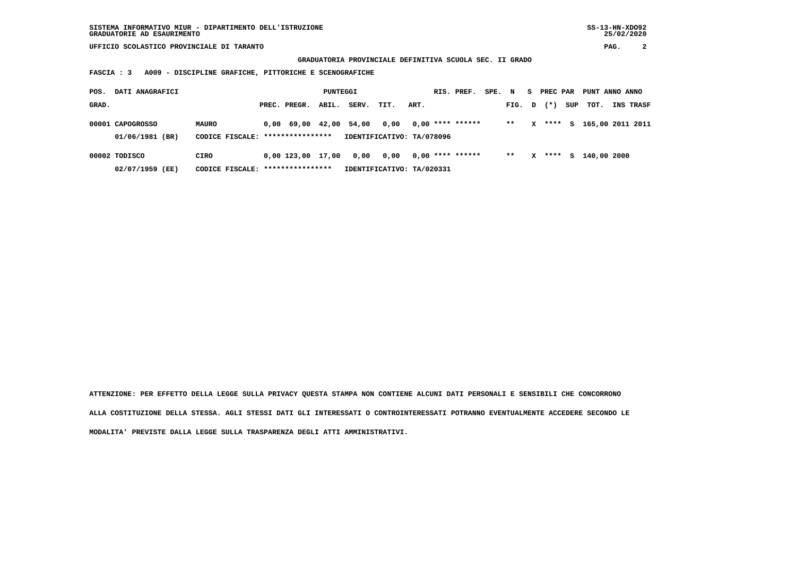**GRADUATORIA PROVINCIALE DEFINITIVA SCUOLA SEC. II GRADO**

 **FASCIA : 3 A009 - DISCIPLINE GRAFICHE, PITTORICHE E SCENOGRAFICHE**

| POS.  | DATI ANAGRAFICI                     |                                                  |                                            | PUNTEGGI |       |                                   |      | RIS. PREF.         | SPE. N |        | S. | PREC PAR |     | PUNT ANNO ANNO   |                  |
|-------|-------------------------------------|--------------------------------------------------|--------------------------------------------|----------|-------|-----------------------------------|------|--------------------|--------|--------|----|----------|-----|------------------|------------------|
| GRAD. |                                     |                                                  | PREC. PREGR.                               | ABIL.    | SERV. | TIT.                              | ART. |                    |        | FIG. D |    | $(* )$   | SUP | тот.             | <b>INS TRASF</b> |
|       | 00001 CAPOGROSSO<br>01/06/1981 (BR) | <b>MAURO</b><br>CODICE FISCALE: **************** | $0.00 \quad 69.00 \quad 42.00 \quad 54.00$ |          |       | 0,00<br>IDENTIFICATIVO: TA/078096 |      | $0,00$ **** ****** |        | $* *$  | x  | ****     | s   | 165,00 2011 2011 |                  |
|       |                                     |                                                  |                                            |          |       |                                   |      |                    |        |        |    |          |     |                  |                  |
|       | 00002 TODISCO                       | CIRO                                             | 0,00 123,00                                | 17,00    | 0,00  | 0.00                              |      | $0,00$ **** ****** |        | $**$   | x  | ****     | S.  | 140,00 2000      |                  |
|       | 02/07/1959 (EE)                     | CODICE FISCALE: *****************                |                                            |          |       | IDENTIFICATIVO: TA/020331         |      |                    |        |        |    |          |     |                  |                  |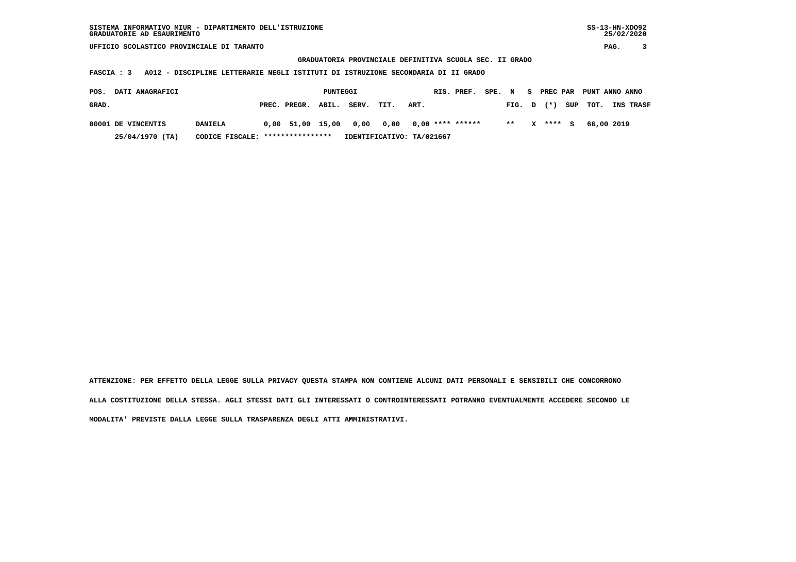**GRADUATORIA PROVINCIALE DEFINITIVA SCUOLA SEC. II GRADO**

 **FASCIA : 3 A012 - DISCIPLINE LETTERARIE NEGLI ISTITUTI DI ISTRUZIONE SECONDARIA DI II GRADO**

| <b>DATI ANAGRAFICI</b><br>POS. |                                  |                    | PUNTEGGI |       |                                               |      | RIS. PREF. | SPE. N |        | <b>S.</b> |           | PREC PAR PUNT ANNO ANNO |                  |
|--------------------------------|----------------------------------|--------------------|----------|-------|-----------------------------------------------|------|------------|--------|--------|-----------|-----------|-------------------------|------------------|
| GRAD.                          |                                  | PREC. PREGR. ABIL. |          | SERV. | TIT.                                          | ART. |            |        | FIG. D |           | $(\star)$ | SUP TOT.                | <b>INS TRASF</b> |
| 00001 DE VINCENTIS             | <b>DANIELA</b>                   |                    |          |       | $0.00$ 51.00 15.00 0.00 0.00 0.00 **** ****** |      |            |        | $***$  |           | X **** S  | 66,00 2019              |                  |
| 25/04/1970 (TA)                | CODICE FISCALE: **************** |                    |          |       | IDENTIFICATIVO: TA/021667                     |      |            |        |        |           |           |                         |                  |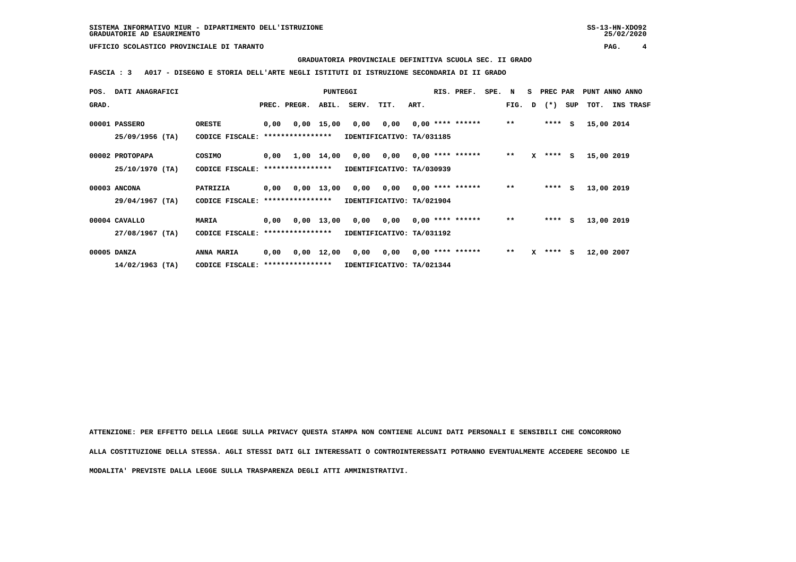**GRADUATORIA PROVINCIALE DEFINITIVA SCUOLA SEC. II GRADO**

 **FASCIA : 3 A017 - DISEGNO E STORIA DELL'ARTE NEGLI ISTITUTI DI ISTRUZIONE SECONDARIA DI II GRADO**

| POS.  | DATI ANAGRAFICI   |                                   |      |                  | <b>PUNTEGGI</b> |                                         |                                        |      | RIS. PREF.         | SPE. N |              |   | S PREC PAR   |     | PUNT ANNO ANNO |                  |
|-------|-------------------|-----------------------------------|------|------------------|-----------------|-----------------------------------------|----------------------------------------|------|--------------------|--------|--------------|---|--------------|-----|----------------|------------------|
| GRAD. |                   |                                   |      | PREC. PREGR.     |                 | ABIL. SERV.                             | TIT.                                   | ART. |                    |        |              |   | FIG. D $(*)$ | SUP | тот.           | <b>INS TRASF</b> |
|       | 00001 PASSERO     | <b>ORESTE</b>                     | 0,00 |                  | 0,00 15,00      |                                         | $0,00$ $0,00$ $0,00$ $***$ **** ****** |      |                    |        | $\star\star$ |   | $***$ S      |     | 15,00 2014     |                  |
|       | $25/09/1956$ (TA) | CODICE FISCALE: ***************** |      |                  |                 | IDENTIFICATIVO: TA/031185               |                                        |      |                    |        |              |   |              |     |                |                  |
|       | 00002 PROTOPAPA   | COSIMO                            | 0,00 |                  | 1,00 14,00      |                                         | $0,00$ $0,00$ $0,00$ $***$ **** ****** |      |                    |        | $* *$        |   | $X$ **** $S$ |     | 15,00 2019     |                  |
|       | 25/10/1970 (TA)   | CODICE FISCALE: ***************** |      |                  |                 | IDENTIFICATIVO: TA/030939               |                                        |      |                    |        |              |   |              |     |                |                  |
|       | 00003 ANCONA      | PATRIZIA                          | 0,00 |                  |                 | $0,00$ 13,00 0,00 0,00 0,00 **** ****** |                                        |      |                    |        | $**$         |   | $***5$       |     | 13,00 2019     |                  |
|       | $29/04/1967$ (TA) | CODICE FISCALE:                   |      | **************** |                 | IDENTIFICATIVO: TA/021904               |                                        |      |                    |        |              |   |              |     |                |                  |
|       | 00004 CAVALLO     | <b>MARIA</b>                      | 0,00 |                  | 0,00 13,00      |                                         | 0,00 0,00                              |      | $0,00$ **** ****** |        | $***$        |   | $***$ S      |     | 13,00 2019     |                  |
|       | 27/08/1967 (TA)   | CODICE FISCALE: ****************  |      |                  |                 | IDENTIFICATIVO: TA/031192               |                                        |      |                    |        |              |   |              |     |                |                  |
|       | 00005 DANZA       | <b>ANNA MARIA</b>                 | 0,00 |                  | 0,00 12,00      |                                         | 0,00 0,00 0,00 **** ******             |      |                    |        | $***$        | x | $***$ S      |     | 12,00 2007     |                  |
|       | $14/02/1963$ (TA) | CODICE FISCALE: ****************  |      |                  |                 | IDENTIFICATIVO: TA/021344               |                                        |      |                    |        |              |   |              |     |                |                  |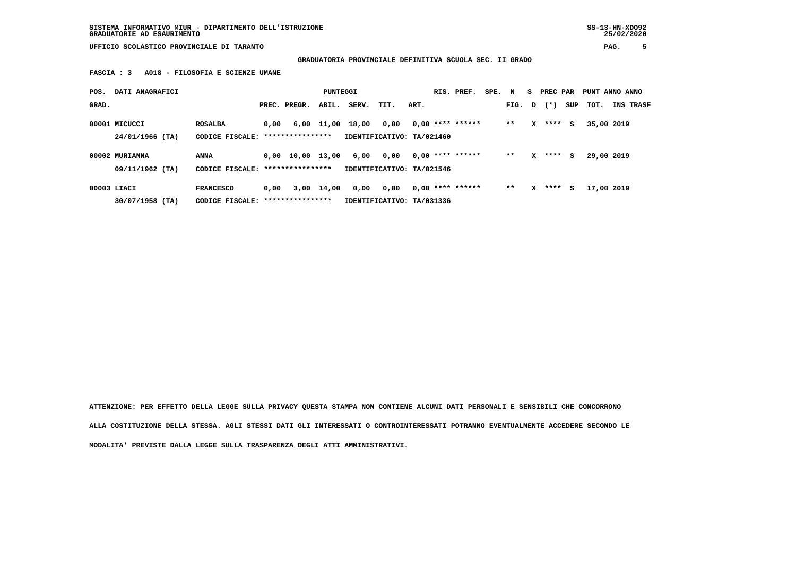**SISTEMA INFORMATIVO MIUR - DIPARTIMENTO DELL'ISTRUZIONE SS-13-HN-XDO92 GRADUATORIE AD ESAURIMENTO 25/02/2020**

 **UFFICIO SCOLASTICO PROVINCIALE DI TARANTO PAG. 5**

 **GRADUATORIA PROVINCIALE DEFINITIVA SCUOLA SEC. II GRADO**

 **FASCIA : 3 A018 - FILOSOFIA E SCIENZE UMANE**

| POS.  | DATI ANAGRAFICI   |                                   |      |                                | PUNTEGGI   |       |                           |      | RIS. PREF.         | SPE. N |        |   | S PREC PAR |     | PUNT ANNO ANNO |                  |
|-------|-------------------|-----------------------------------|------|--------------------------------|------------|-------|---------------------------|------|--------------------|--------|--------|---|------------|-----|----------------|------------------|
| GRAD. |                   |                                   |      | PREC. PREGR.                   | ABIL.      | SERV. | TIT.                      | ART. |                    |        | FIG. D |   | $(\star)$  | SUP | тот.           | <b>INS TRASF</b> |
|       | 00001 MICUCCI     | <b>ROSALBA</b>                    | 0.00 |                                | 6,00 11,00 | 18,00 | 0,00                      |      | $0,00$ **** ****** |        | $**$   | x | ****       | s   | 35,00 2019     |                  |
|       | 24/01/1966 (TA)   | CODICE FISCALE: ***************** |      |                                |            |       | IDENTIFICATIVO: TA/021460 |      |                    |        |        |   |            |     |                |                  |
|       | 00002 MURIANNA    | <b>ANNA</b>                       |      | $0.00 \quad 10.00 \quad 13.00$ |            | 6,00  | 0,00                      |      | $0,00$ **** ****** |        | $**$   | x | ****       | s   | 29,00 2019     |                  |
|       | 09/11/1962 (TA)   | CODICE FISCALE: ****************  |      |                                |            |       | IDENTIFICATIVO: TA/021546 |      |                    |        |        |   |            |     |                |                  |
|       | 00003 LIACI       | <b>FRANCESCO</b>                  | 0,00 |                                | 3,00 14,00 | 0,00  | 0,00                      |      | $0,00$ **** ****** |        | $* *$  | x | ****       | s   | 17,00 2019     |                  |
|       | $30/07/1958$ (TA) | CODICE FISCALE:                   |      | ****************               |            |       | IDENTIFICATIVO: TA/031336 |      |                    |        |        |   |            |     |                |                  |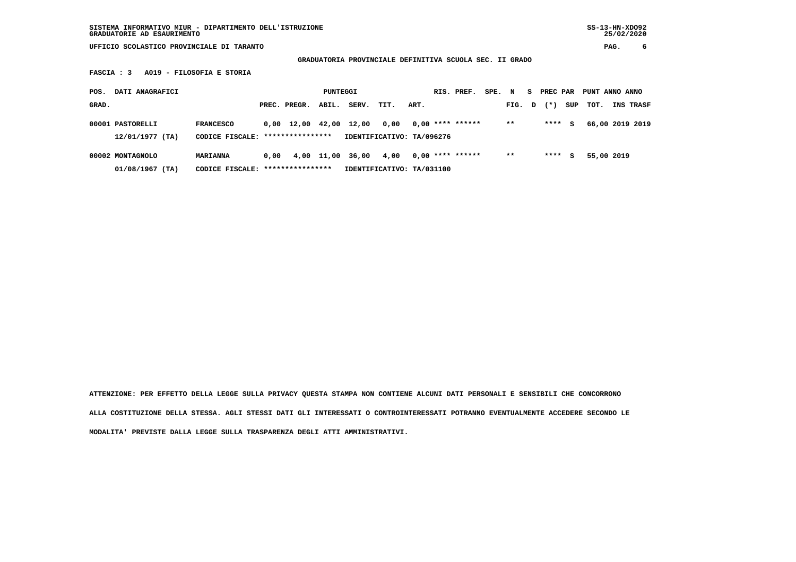**GRADUATORIA PROVINCIALE DEFINITIVA SCUOLA SEC. II GRADO**

 **FASCIA : 3 A019 - FILOSOFIA E STORIA**

| POS.  | DATI ANAGRAFICI                       |                                                      |      |                                | PUNTEGGI   |       |                                   |      | RIS. PREF.         | SPE. N |        | S. | PREC PAR |     | PUNT ANNO ANNO |                  |
|-------|---------------------------------------|------------------------------------------------------|------|--------------------------------|------------|-------|-----------------------------------|------|--------------------|--------|--------|----|----------|-----|----------------|------------------|
| GRAD. |                                       |                                                      |      | PREC. PREGR.                   | ABIL.      | SERV. | TIT.                              | ART. |                    |        | FIG. D |    | $(* )$   | SUP | тот.           | <b>INS TRASF</b> |
|       | 00001 PASTORELLI<br>12/01/1977 (TA)   | <b>FRANCESCO</b><br>CODICE FISCALE: **************** |      | $0.00 \quad 12.00 \quad 42.00$ |            | 12,00 | 0,00<br>IDENTIFICATIVO: TA/096276 |      | $0,00$ **** ****** |        | $***$  |    | ****     | s   |                | 66,00 2019 2019  |
|       | 00002 MONTAGNOLO<br>$01/08/1967$ (TA) | <b>MARIANNA</b><br>CODICE FISCALE: ***************** | 0.00 |                                | 4,00 11,00 | 36,00 | 4,00<br>IDENTIFICATIVO: TA/031100 |      | $0.00$ **** ****** |        | $***$  |    | ****     | s   | 55,00 2019     |                  |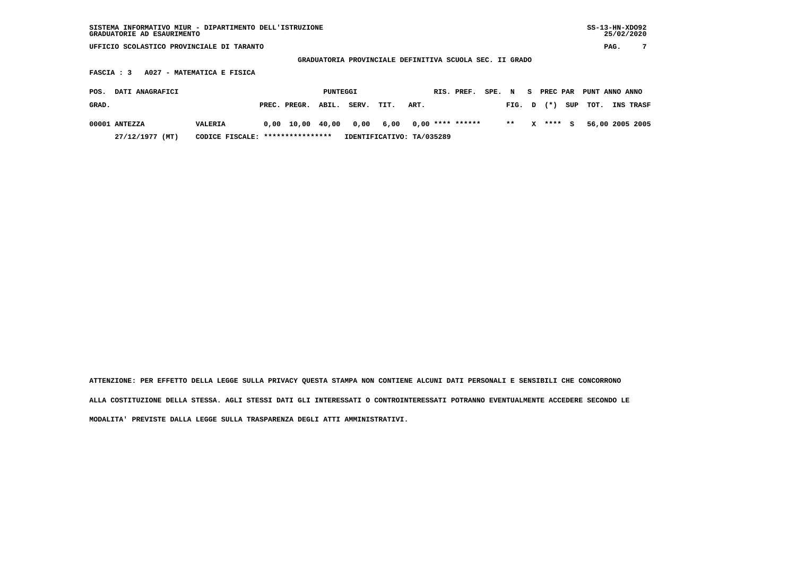| SISTEMA INFORMATIVO MIUR - DIPARTIMENTO DELL'ISTRUZIONE<br>GRADUATORIE AD ESAURIMENTO | SS-13-HN-XD092<br>25/02/2020 |  |
|---------------------------------------------------------------------------------------|------------------------------|--|
| UFFICIO SCOLASTICO PROVINCIALE DI TARANTO                                             | PAG.                         |  |

 $SS-13-HN-XDO92$  $25/02/2020$ 

 **GRADUATORIA PROVINCIALE DEFINITIVA SCUOLA SEC. II GRADO**

 **FASCIA : 3 A027 - MATEMATICA E FISICA**

| POS.  | <b>DATI ANAGRAFICI</b> |                                  |                    | PUNTEGGI |                            |                           |      | RIS. PREF. SPE. N S PREC PAR PUNT ANNO ANNO |       |          |                         |                  |
|-------|------------------------|----------------------------------|--------------------|----------|----------------------------|---------------------------|------|---------------------------------------------|-------|----------|-------------------------|------------------|
| GRAD. |                        |                                  | PREC. PREGR. ABIL. |          | SERV.                      | TIT.                      | ART. |                                             |       |          | FIG. $D$ $(*)$ SUP TOT. | <b>INS TRASF</b> |
|       | 00001 ANTEZZA          | VALERIA                          |                    |          | 0,00 10,00 40,00 0,00 6,00 |                           |      | 0,00 **** ******                            | $***$ | X **** S |                         | 56,00 2005 2005  |
|       | 27/12/1977 (MT)        | CODICE FISCALE: **************** |                    |          |                            | IDENTIFICATIVO: TA/035289 |      |                                             |       |          |                         |                  |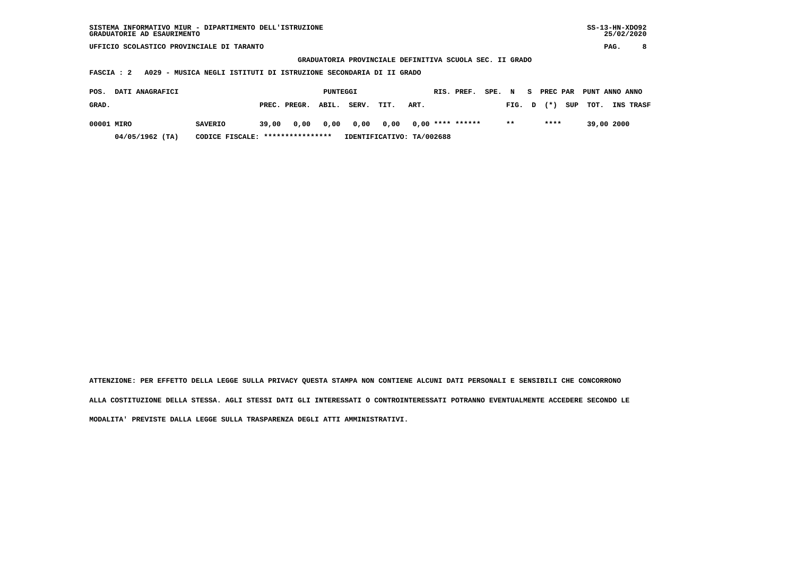| SISTEMA INFORMATIVO MIUR - DIPARTIMENTO DELL'ISTRUZIONE | SS-13-HN-XD092 |
|---------------------------------------------------------|----------------|
| GRADUATORIE AD ESAURIMENTO                              | 25/02/2020     |

 **GRADUATORIA PROVINCIALE DEFINITIVA SCUOLA SEC. II GRADO**

 **FASCIA : 2 A029 - MUSICA NEGLI ISTITUTI DI ISTRUZIONE SECONDARIA DI II GRADO**

| POS.<br><b>DATI ANAGRAFICI</b> |                                  |       |                    | PUNTEGGI |                     |      |                           | RIS. PREF. |        |        | SPE. N S PREC PAR PUNT ANNO ANNO |            |                  |
|--------------------------------|----------------------------------|-------|--------------------|----------|---------------------|------|---------------------------|------------|--------|--------|----------------------------------|------------|------------------|
| GRAD.                          |                                  |       | PREC. PREGR. ABIL. |          | SERV.               | TIT. | ART.                      |            | FIG. D | $(* )$ | SUP TOT.                         |            | <b>INS TRASF</b> |
| 00001 MIRO                     | <b>SAVERIO</b>                   | 39,00 |                    |          | 0,00 0,00 0,00 0,00 |      | 0,00 **** ******          |            | $* *$  | ****   |                                  | 39,00 2000 |                  |
| $04/05/1962$ (TA)              | CODICE FISCALE: **************** |       |                    |          |                     |      | IDENTIFICATIVO: TA/002688 |            |        |        |                                  |            |                  |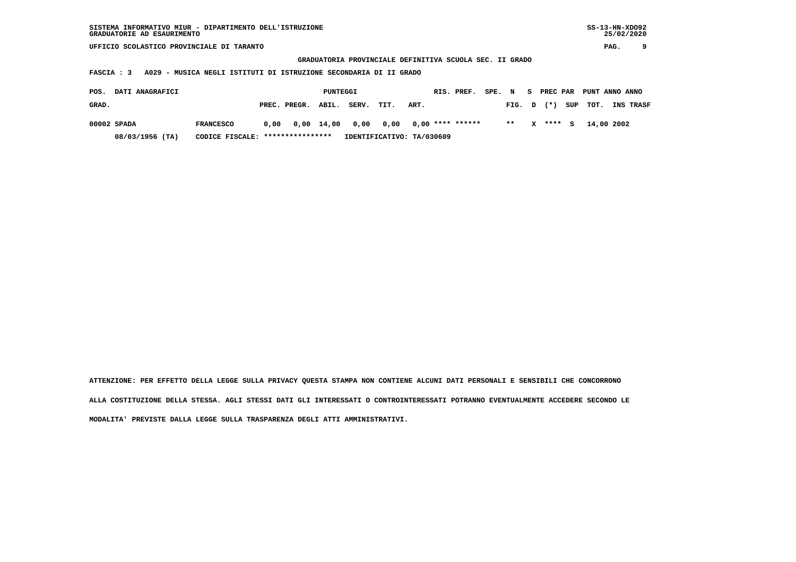| SISTEMA INFORMATIVO MIUR - DIPARTIMENTO DELL'ISTRUZIONE | SS-13-HN-XD092 |
|---------------------------------------------------------|----------------|
| GRADUATORIE AD ESAURIMENTO                              | 25/02/2020     |

 **GRADUATORIA PROVINCIALE DEFINITIVA SCUOLA SEC. II GRADO**

 **FASCIA : 3 A029 - MUSICA NEGLI ISTITUTI DI ISTRUZIONE SECONDARIA DI II GRADO**

| POS.        | <b>DATI ANAGRAFICI</b> |                                  |      |                                       | PUNTEGGI |                           |      |      | RIS. PREF. | SPE. N |        |   |        | S PREC PAR PUNT ANNO ANNO |                  |
|-------------|------------------------|----------------------------------|------|---------------------------------------|----------|---------------------------|------|------|------------|--------|--------|---|--------|---------------------------|------------------|
| GRAD.       |                        |                                  |      | PREC. PREGR. ABIL.                    |          | SERV.                     | TIT. | ART. |            |        | FIG. D |   |        | $(*)$ SUP TOT.            | <b>INS TRASF</b> |
| 00002 SPADA |                        | <b>FRANCESCO</b>                 | 0.00 | 0,00 14,00 0,00 0,00 0,00 **** ****** |          |                           |      |      |            |        | $* *$  | x | **** S | 14,00 2002                |                  |
|             | 08/03/1956 (TA)        | CODICE FISCALE: **************** |      |                                       |          | IDENTIFICATIVO: TA/030609 |      |      |            |        |        |   |        |                           |                  |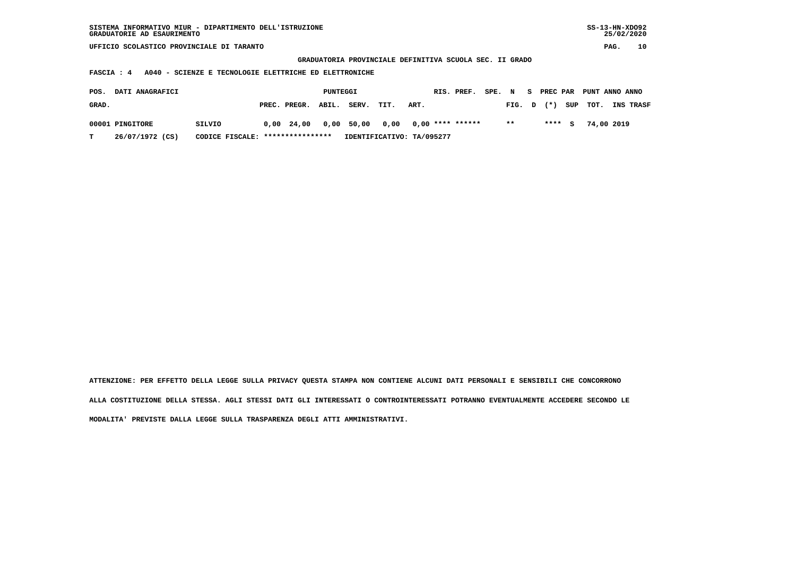| SISTEMA INFORMATIVO MIUR - DIPARTIMENTO DELL'ISTRUZIONE<br>GRADUATORIE AD ESAURIMENTO                                           |                                   |  |              |          |                           |      |      |                    |        |        |  |            |     |            | $SS-13-HN-XDO92$<br>25/02/2020 |  |
|---------------------------------------------------------------------------------------------------------------------------------|-----------------------------------|--|--------------|----------|---------------------------|------|------|--------------------|--------|--------|--|------------|-----|------------|--------------------------------|--|
| UFFICIO SCOLASTICO PROVINCIALE DI TARANTO                                                                                       |                                   |  |              |          |                           |      |      |                    |        |        |  |            |     |            | 10<br>PAG.                     |  |
| GRADUATORIA PROVINCIALE DEFINITIVA SCUOLA SEC. II GRADO<br>A040 - SCIENZE E TECNOLOGIE ELETTRICHE ED ELETTRONICHE<br>FASCIA : 4 |                                   |  |              |          |                           |      |      |                    |        |        |  |            |     |            |                                |  |
|                                                                                                                                 |                                   |  |              |          |                           |      |      |                    |        |        |  |            |     |            |                                |  |
|                                                                                                                                 |                                   |  |              |          |                           |      |      |                    |        |        |  |            |     |            |                                |  |
| DATI ANAGRAFICI<br>POS.                                                                                                         |                                   |  |              | PUNTEGGI |                           |      |      | RIS. PREF.         | SPE. N |        |  | S PREC PAR |     |            | PUNT ANNO ANNO                 |  |
| GRAD.                                                                                                                           |                                   |  | PREC. PREGR. | ABIL.    | SERV.                     | TIT. | ART. |                    |        | FIG. D |  | $(* )$     | SUP | TOT.       | INS TRASF                      |  |
| 00001 PINGITORE                                                                                                                 | SILVIO                            |  | $0,00$ 24,00 | 0,00     | 50,00                     | 0,00 |      | $0,00$ **** ****** |        | $***$  |  | ****       | s   | 74,00 2019 |                                |  |
|                                                                                                                                 |                                   |  |              |          |                           |      |      |                    |        |        |  |            |     |            |                                |  |
| 26/07/1972 (CS)<br>т                                                                                                            | CODICE FISCALE: ***************** |  |              |          | IDENTIFICATIVO: TA/095277 |      |      |                    |        |        |  |            |     |            |                                |  |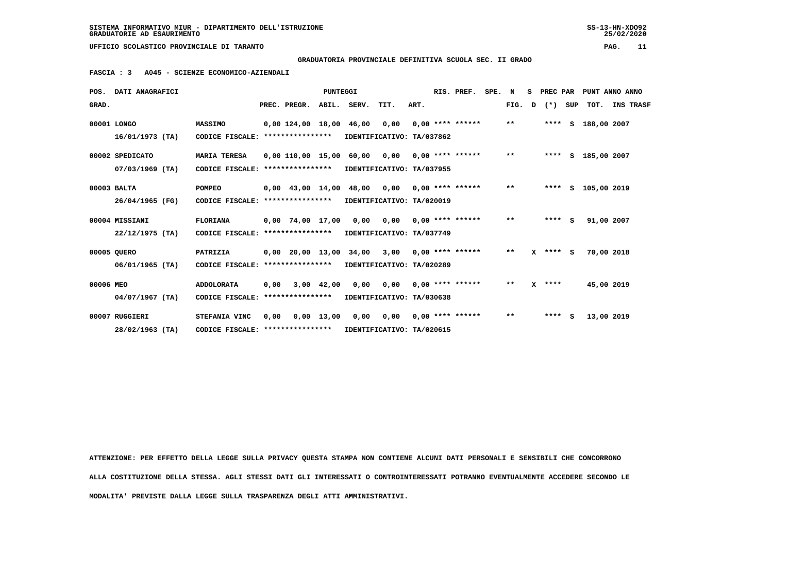**GRADUATORIA PROVINCIALE DEFINITIVA SCUOLA SEC. II GRADO**

 **FASCIA : 3 A045 - SCIENZE ECONOMICO-AZIENDALI**

|           | POS. DATI ANAGRAFICI |                                   |      |                                       | <b>PUNTEGGI</b> |                           |      | RIS. PREF.         | SPE. N |              | S. | PREC PAR     |     |                    | PUNT ANNO ANNO |
|-----------|----------------------|-----------------------------------|------|---------------------------------------|-----------------|---------------------------|------|--------------------|--------|--------------|----|--------------|-----|--------------------|----------------|
| GRAD.     |                      |                                   |      | PREC. PREGR. ABIL. SERV.              |                 | TIT.                      | ART. |                    |        | FIG.         | D  | $(*)$        | SUP |                    | TOT. INS TRASF |
|           | 00001 LONGO          | MASSIMO                           |      | $0,00$ 124,00 18,00 46,00 0,00        |                 |                           |      | $0.00$ **** ****** |        | $***$        |    |              |     | **** S 188,00 2007 |                |
|           | $16/01/1973$ (TA)    | CODICE FISCALE:                   |      | ****************                      |                 | IDENTIFICATIVO: TA/037862 |      |                    |        |              |    |              |     |                    |                |
|           | 00002 SPEDICATO      | <b>MARIA TERESA</b>               |      | 0,00 110,00 15,00 60,00 0,00          |                 |                           |      | $0.00$ **** ****** |        | $***$        |    |              |     | **** S 185,00 2007 |                |
|           | $07/03/1969$ (TA)    | CODICE FISCALE:                   |      | ****************                      |                 | IDENTIFICATIVO: TA/037955 |      |                    |        |              |    |              |     |                    |                |
|           | 00003 BALTA          | POMPEO                            |      | $0,00$ 43,00 14,00 48,00 0,00         |                 |                           |      | $0.00$ **** ****** |        | $\star\star$ |    |              |     | **** S 105,00 2019 |                |
|           | 26/04/1965 (FG)      | CODICE FISCALE: ***************** |      |                                       |                 | IDENTIFICATIVO: TA/020019 |      |                    |        |              |    |              |     |                    |                |
|           | 00004 MISSIANI       | <b>FLORIANA</b>                   |      | $0.00$ 74.00 17.00                    |                 | 0,00 0,00                 |      | $0.00$ **** ****** |        | $***$        |    | $***5$       |     | 91,00 2007         |                |
|           | $22/12/1975$ (TA)    | CODICE FISCALE:                   |      | ****************                      |                 | IDENTIFICATIVO: TA/037749 |      |                    |        |              |    |              |     |                    |                |
|           | 00005 QUERO          | PATRIZIA                          |      | $0,00$ $20,00$ $13,00$ $34,00$ $3,00$ |                 |                           |      | $0.00$ **** ****** |        | $***$        |    | $X$ **** $S$ |     | 70,00 2018         |                |
|           | $06/01/1965$ (TA)    | CODICE FISCALE: ****************  |      |                                       |                 | IDENTIFICATIVO: TA/020289 |      |                    |        |              |    |              |     |                    |                |
| 00006 MEO |                      | <b>ADDOLORATA</b>                 | 0,00 |                                       |                 | 3,00 42,00 0,00 0,00      |      | $0.00$ **** ****** |        | $* *$        |    | $X$ ****     |     | 45,00 2019         |                |
|           | 04/07/1967 (TA)      | CODICE FISCALE:                   |      | ****************                      |                 | IDENTIFICATIVO: TA/030638 |      |                    |        |              |    |              |     |                    |                |
|           | 00007 RUGGIERI       | STEFANIA VINC                     | 0.00 |                                       | $0,00$ 13,00    | 0,00 0,00                 |      | $0.00$ **** ****** |        | $* *$        |    | $***$ S      |     | 13,00 2019         |                |
|           | 28/02/1963 (TA)      | CODICE FISCALE: ****************  |      |                                       |                 | IDENTIFICATIVO: TA/020615 |      |                    |        |              |    |              |     |                    |                |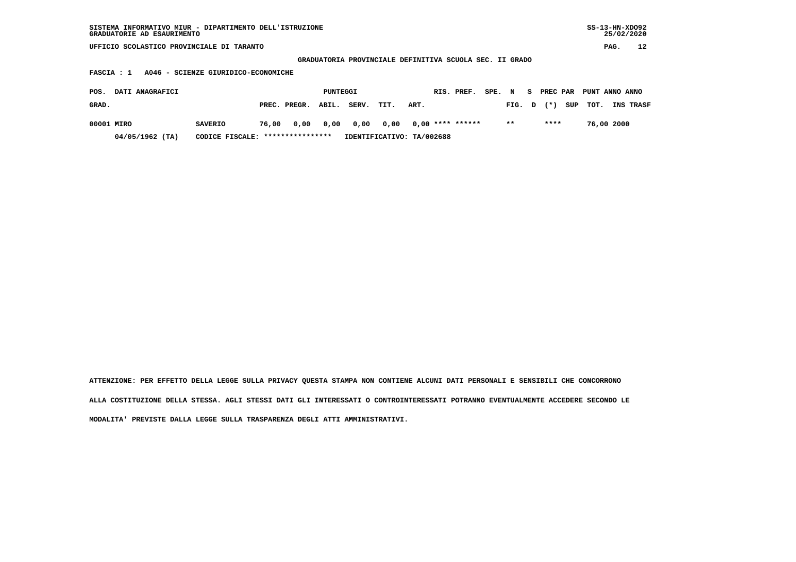| SISTEMA INFORMATIVO MIUR - DIPARTIMENTO DELL'ISTRUZIONE<br>GRADUATORIE AD ESAURIMENTO |                                   |       |              |          |       |                                                         |      |  |                    |        |        |    |          |     |                |            | $SS-13-HN-XDO92$<br>25/02/2020 |
|---------------------------------------------------------------------------------------|-----------------------------------|-------|--------------|----------|-------|---------------------------------------------------------|------|--|--------------------|--------|--------|----|----------|-----|----------------|------------|--------------------------------|
| UFFICIO SCOLASTICO PROVINCIALE DI TARANTO                                             |                                   |       |              |          |       |                                                         |      |  |                    |        |        |    |          |     |                | PAG.       | 12                             |
|                                                                                       |                                   |       |              |          |       | GRADUATORIA PROVINCIALE DEFINITIVA SCUOLA SEC. II GRADO |      |  |                    |        |        |    |          |     |                |            |                                |
| A046 - SCIENZE GIURIDICO-ECONOMICHE<br>FASCIA : 1                                     |                                   |       |              |          |       |                                                         |      |  |                    |        |        |    |          |     |                |            |                                |
| DATI ANAGRAFICI<br>POS.                                                               |                                   |       |              | PUNTEGGI |       |                                                         |      |  | RIS. PREF.         | SPE. N |        | S. | PREC PAR |     | PUNT ANNO ANNO |            |                                |
| GRAD.                                                                                 |                                   |       | PREC. PREGR. | ABIL.    | SERV. | TIT.                                                    | ART. |  |                    |        | FIG. D |    | $(* )$   | SUP | TOT.           |            | INS TRASF                      |
| 00001 MIRO                                                                            | <b>SAVERIO</b>                    | 76,00 | 0,00         | 0,00     | 0,00  | 0,00                                                    |      |  | $0,00$ **** ****** |        | $* *$  |    | ****     |     |                | 76,00 2000 |                                |
| $04/05/1962$ (TA)                                                                     | CODICE FISCALE: ***************** |       |              |          |       | IDENTIFICATIVO: TA/002688                               |      |  |                    |        |        |    |          |     |                |            |                                |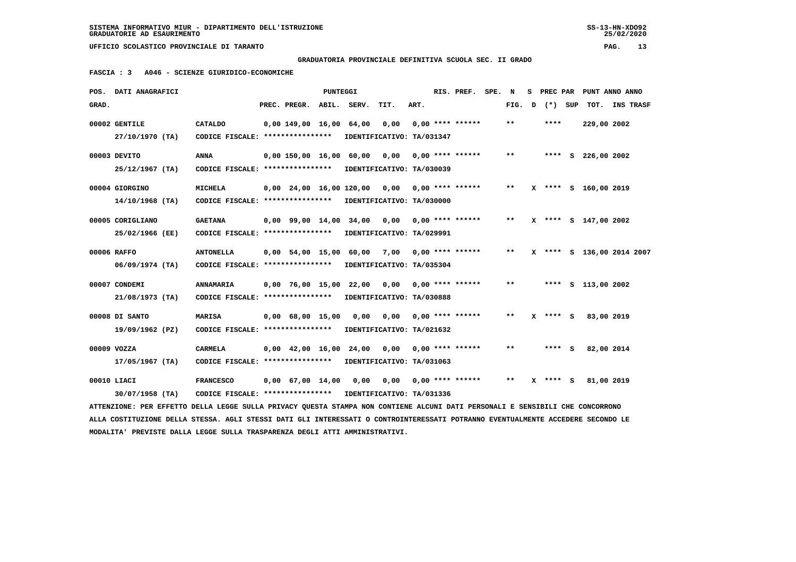$25/02/2020$ 

 **UFFICIO SCOLASTICO PROVINCIALE DI TARANTO PAG. 13**

 **GRADUATORIA PROVINCIALE DEFINITIVA SCUOLA SEC. II GRADO**

 **FASCIA : 3 A046 - SCIENZE GIURIDICO-ECONOMICHE**

|       | POS. DATI ANAGRAFICI                                                                                                          |                                                                                                                |                          | PUNTEGGI |                                                |                            |      | RIS. PREF. SPE. N         |              |              | S PREC PAR PUNT ANNO ANNO |  |
|-------|-------------------------------------------------------------------------------------------------------------------------------|----------------------------------------------------------------------------------------------------------------|--------------------------|----------|------------------------------------------------|----------------------------|------|---------------------------|--------------|--------------|---------------------------|--|
| GRAD. |                                                                                                                               |                                                                                                                | PREC. PREGR. ABIL. SERV. |          |                                                | TIT.                       | ART. |                           | FIG. D       | (*) SUP      | TOT. INS TRASF            |  |
|       | 00002 GENTILE                                                                                                                 | CATALDO                                                                                                        | 0,00 149,00 16,00 64,00  |          |                                                | 0,00                       |      | $0,00$ **** ******        | $* *$        | ****         | 229,00 2002               |  |
|       | 27/10/1970 (TA)                                                                                                               | CODICE FISCALE: ****************                                                                               |                          |          |                                                | IDENTIFICATIVO: TA/031347  |      |                           |              |              |                           |  |
|       | 00003 DEVITO                                                                                                                  | <b>ANNA</b>                                                                                                    |                          |          | 0,00 150,00 16,00 60,00 0,00 0,00 **** ******  |                            |      |                           | $\star\star$ |              | **** S 226,00 2002        |  |
|       | 25/12/1967 (TA)                                                                                                               | CODICE FISCALE: *****************                                                                              |                          |          |                                                | IDENTIFICATIVO: TA/030039  |      |                           |              |              |                           |  |
|       | 00004 GIORGINO                                                                                                                | <b>MICHELA</b>                                                                                                 |                          |          | 0,00 24,00 16,00 120,00 0,00 0,00 **** ******  |                            |      |                           | $* *$        |              | X **** S 160,00 2019      |  |
|       | 14/10/1968 (TA)                                                                                                               | CODICE FISCALE: **************** IDENTIFICATIVO: TA/030000                                                     |                          |          |                                                |                            |      |                           |              |              |                           |  |
|       | 00005 CORIGLIANO                                                                                                              | <b>GAETANA</b>                                                                                                 |                          |          | 0,00 99,00 14,00 34,00 0,00 0,00 **** ******   |                            |      |                           | $* *$        |              | X **** S 147,00 2002      |  |
|       | 25/02/1966 (EE)                                                                                                               | CODICE FISCALE: ****************                                                                               |                          |          |                                                | IDENTIFICATIVO: TA/029991  |      |                           |              |              |                           |  |
|       | 00006 RAFFO                                                                                                                   | <b>ANTONELLA</b>                                                                                               |                          |          | 0,00 54,00 15,00 60,00 7,00 0,00 **** ******   |                            |      |                           | $***$        |              | X **** S 136,00 2014 2007 |  |
|       | 06/09/1974 (TA)                                                                                                               | CODICE FISCALE: *****************                                                                              |                          |          |                                                | IDENTIFICATIVO: TA/035304  |      |                           |              |              |                           |  |
|       | 00007 CONDEMI                                                                                                                 | <b>ANNAMARIA</b>                                                                                               |                          |          | $0,00$ 76,00 15,00 22,00 0,00 0,00 **** ****** |                            |      |                           | $***$        |              | **** S 113,00 2002        |  |
|       | 21/08/1973 (TA)                                                                                                               | CODICE FISCALE: *****************                                                                              |                          |          |                                                | IDENTIFICATIVO: TA/030888  |      |                           |              |              |                           |  |
|       | 00008 DI SANTO                                                                                                                | <b>MARISA</b>                                                                                                  | $0,00$ 68,00 15,00       |          | 0,00                                           |                            |      | $0,00$ $0,00$ **** ****** | $* *$        | $X$ **** S   | 83,00 2019                |  |
|       | 19/09/1962 (PZ)                                                                                                               | CODICE FISCALE: *****************                                                                              |                          |          |                                                | IDENTIFICATIVO: TA/021632  |      |                           |              |              |                           |  |
|       | 00009 VOZZA                                                                                                                   | <b>CARMELA</b>                                                                                                 |                          |          | $0,00$ 42,00 16,00 24,00 0,00 0,00 **** ****** |                            |      |                           | $* *$        | $***$ S      | 82,00 2014                |  |
|       | $17/05/1967$ (TA)                                                                                                             | CODICE FISCALE: *****************                                                                              |                          |          |                                                | IDENTIFICATIVO: TA/031063  |      |                           |              |              |                           |  |
|       | 00010 LIACI                                                                                                                   | <b>FRANCESCO</b>                                                                                               | $0,00$ 67,00 14,00       |          |                                                | 0,00 0,00 0,00 **** ****** |      |                           | $***$        | $X$ **** $S$ | 81,00 2019                |  |
|       | $30/07/1958$ (TA)                                                                                                             | CODICE FISCALE: **************** IDENTIFICATIVO: TA/031336                                                     |                          |          |                                                |                            |      |                           |              |              |                           |  |
|       | ATTENZIONE: PER EFFETTO DELLA LEGGE SULLA PRIVACY QUESTA STAMPA NON CONTIENE ALCUNI DATI PERSONALI E SENSIBILI CHE CONCORRONO |                                                                                                                |                          |          |                                                |                            |      |                           |              |              |                           |  |
|       |                                                                                                                               | $\overline{a}$ mmaal lätt ammaat blet alt tummboaalest a aalumbatumpoolales bamblinia muhimmillikuus läänbobbo |                          |          |                                                |                            |      |                           |              |              |                           |  |

 **ALLA COSTITUZIONE DELLA STESSA. AGLI STESSI DATI GLI INTERESSATI O CONTROINTERESSATI POTRANNO EVENTUALMENTE ACCEDERE SECONDO LE MODALITA' PREVISTE DALLA LEGGE SULLA TRASPARENZA DEGLI ATTI AMMINISTRATIVI.**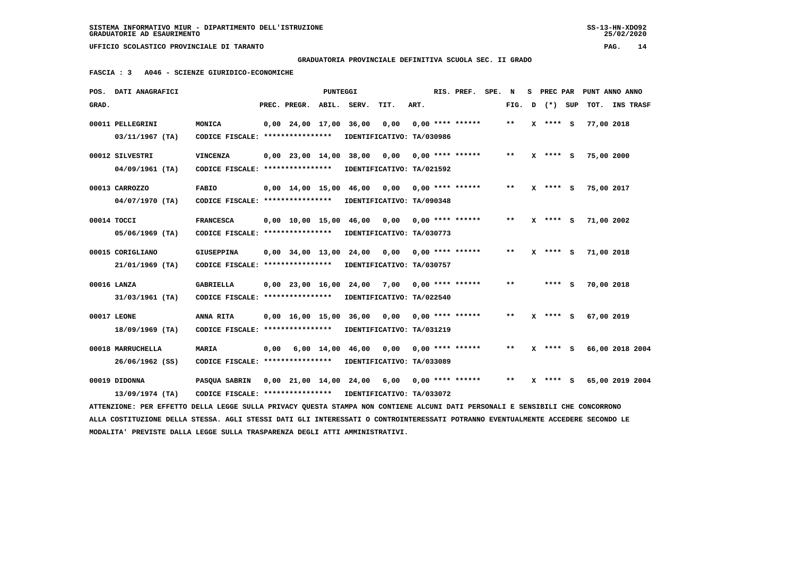$25/02/2020$ 

 **UFFICIO SCOLASTICO PROVINCIALE DI TARANTO PAG. 14**

 **GRADUATORIA PROVINCIALE DEFINITIVA SCUOLA SEC. II GRADO**

 **FASCIA : 3 A046 - SCIENZE GIURIDICO-ECONOMICHE**

|       | POS. DATI ANAGRAFICI                                                                                                            |                                                            |      |                                            | PUNTEGGI |                                                |                           |      | RIS. PREF. SPE. N  |       |   |              | S PREC PAR PUNT ANNO ANNO |                  |  |
|-------|---------------------------------------------------------------------------------------------------------------------------------|------------------------------------------------------------|------|--------------------------------------------|----------|------------------------------------------------|---------------------------|------|--------------------|-------|---|--------------|---------------------------|------------------|--|
| GRAD. |                                                                                                                                 |                                                            |      | PREC. PREGR.                               |          | ABIL. SERV.                                    | TIT.                      | ART. |                    | FIG.  | D | (*) SUP      | TOT.                      | <b>INS TRASF</b> |  |
|       | 00011 PELLEGRINI                                                                                                                | MONICA                                                     |      | $0.00$ 24.00 17.00                         |          | 36,00                                          | 0,00                      |      | $0.00$ **** ****** | $***$ |   | $X$ **** S   | 77,00 2018                |                  |  |
|       | $03/11/1967$ (TA)                                                                                                               | CODICE FISCALE: ****************                           |      |                                            |          |                                                | IDENTIFICATIVO: TA/030986 |      |                    |       |   |              |                           |                  |  |
|       | 00012 SILVESTRI                                                                                                                 | <b>VINCENZA</b>                                            |      | 0,00 23,00 14,00 38,00                     |          |                                                | 0,00                      |      | $0.00$ **** ****** | $***$ |   | $X$ **** S   | 75,00 2000                |                  |  |
|       | $04/09/1961$ (TA)                                                                                                               | CODICE FISCALE: ****************                           |      |                                            |          |                                                | IDENTIFICATIVO: TA/021592 |      |                    |       |   |              |                           |                  |  |
|       | 00013 CARROZZO                                                                                                                  | <b>FABIO</b>                                               |      | $0.00 \quad 14.00 \quad 15.00$             |          | 46,00                                          | 0.00                      |      | $0.00$ **** ****** | **    |   | $X$ **** S   | 75,00 2017                |                  |  |
|       | $04/07/1970$ (TA)                                                                                                               | CODICE FISCALE: ****************                           |      |                                            |          |                                                | IDENTIFICATIVO: TA/090348 |      |                    |       |   |              |                           |                  |  |
|       | 00014 TOCCI                                                                                                                     | <b>FRANCESCA</b>                                           |      | $0.00 \quad 10.00 \quad 15.00 \quad 46.00$ |          |                                                | 0,00                      |      | $0.00$ **** ****** | $* *$ |   | $X$ **** S   | 71,00 2002                |                  |  |
|       | $05/06/1969$ (TA)                                                                                                               | CODICE FISCALE: ****************                           |      |                                            |          |                                                | IDENTIFICATIVO: TA/030773 |      |                    |       |   |              |                           |                  |  |
|       | 00015 CORIGLIANO                                                                                                                | <b>GIUSEPPINA</b>                                          |      | $0.00$ $34.00$ $13.00$                     |          | 24,00                                          | 0,00                      |      | $0.00$ **** ****** | $* *$ |   | $X$ **** $S$ | 71,00 2018                |                  |  |
|       | 21/01/1969 (TA)                                                                                                                 | CODICE FISCALE: ****************                           |      |                                            |          |                                                | IDENTIFICATIVO: TA/030757 |      |                    |       |   |              |                           |                  |  |
|       |                                                                                                                                 |                                                            |      |                                            |          |                                                |                           |      |                    | $* *$ |   |              |                           |                  |  |
|       | 00016 LANZA                                                                                                                     | <b>GABRIELLA</b><br>CODICE FISCALE: ****************       |      | 0,00 23,00 16,00 24,00                     |          |                                                | 7,00                      |      | $0.00$ **** ****** |       |   | **** S       | 70,00 2018                |                  |  |
|       | 31/03/1961 (TA)                                                                                                                 |                                                            |      |                                            |          |                                                | IDENTIFICATIVO: TA/022540 |      |                    |       |   |              |                           |                  |  |
|       | 00017 LEONE                                                                                                                     | ANNA RITA                                                  |      | 0,00 16,00 15,00 36,00                     |          |                                                | 0,00                      |      | $0.00$ **** ****** | $**$  |   | $X$ **** S   | 67,00 2019                |                  |  |
|       | 18/09/1969 (TA)                                                                                                                 | CODICE FISCALE: ****************                           |      |                                            |          |                                                | IDENTIFICATIVO: TA/031219 |      |                    |       |   |              |                           |                  |  |
|       | 00018 MARRUCHELLA                                                                                                               | <b>MARIA</b>                                               | 0,00 |                                            |          | $6,00$ $14,00$ $46,00$                         | 0,00                      |      | $0.00$ **** ****** | $* *$ |   | $X$ **** S   |                           | 66,00 2018 2004  |  |
|       | 26/06/1962 (SS)                                                                                                                 | CODICE FISCALE: ****************                           |      |                                            |          |                                                | IDENTIFICATIVO: TA/033089 |      |                    |       |   |              |                           |                  |  |
|       | 00019 DIDONNA                                                                                                                   | PASQUA SABRIN                                              |      |                                            |          | $0,00$ 21,00 14,00 24,00 6,00 0,00 **** ****** |                           |      |                    | $* *$ |   | $X$ **** S   |                           | 65,00 2019 2004  |  |
|       | 13/09/1974 (TA)                                                                                                                 | CODICE FISCALE: **************** IDENTIFICATIVO: TA/033072 |      |                                            |          |                                                |                           |      |                    |       |   |              |                           |                  |  |
|       | ATTENZIONE: PER EFFETTO DELLA LEGGE SULLA PRIVACY QUESTA STAMPA NON CONTIENE ALCUNI DATI PERSONALI E SENSIBILI CHE CONCORRONO   |                                                            |      |                                            |          |                                                |                           |      |                    |       |   |              |                           |                  |  |
|       | ALLA COSTITUZIONE DELLA STESSA. AGLI STESSI DATI GLI INTERESSATI O CONTROINTERESSATI POTRANNO EVENTUALMENTE ACCEDERE SECONDO LE |                                                            |      |                                            |          |                                                |                           |      |                    |       |   |              |                           |                  |  |
|       | MODALITA' PREVISTE DALLA LEGGE SULLA TRASPARENZA DEGLI ATTI AMMINISTRATIVI.                                                     |                                                            |      |                                            |          |                                                |                           |      |                    |       |   |              |                           |                  |  |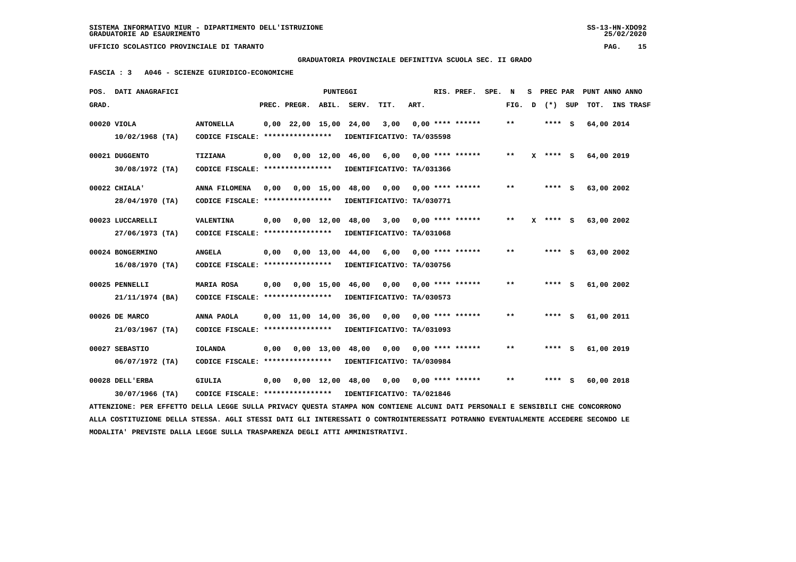### **GRADUATORIA PROVINCIALE DEFINITIVA SCUOLA SEC. II GRADO**

 **FASCIA : 3 A046 - SCIENZE GIURIDICO-ECONOMICHE**

| POS.  | DATI ANAGRAFICI                                                                                                               |                                                            |      |                          | <b>PUNTEGGI</b>    |                                |                           |      | RIS. PREF.         | SPE. | N            | S. | PREC PAR |     |            | PUNT ANNO ANNO |
|-------|-------------------------------------------------------------------------------------------------------------------------------|------------------------------------------------------------|------|--------------------------|--------------------|--------------------------------|---------------------------|------|--------------------|------|--------------|----|----------|-----|------------|----------------|
| GRAD. |                                                                                                                               |                                                            |      | PREC. PREGR.             |                    | ABIL. SERV.                    | TIT.                      | ART. |                    |      | FIG.         | D  | $(* )$   | SUP |            | TOT. INS TRASF |
|       | 00020 VIOLA                                                                                                                   | <b>ANTONELLA</b>                                           |      | $0,00$ 22,00 15,00 24,00 |                    |                                | 3,00                      |      | $0.00$ **** ****** |      | $* *$        |    | **** S   |     | 64,00 2014 |                |
|       | $10/02/1968$ (TA)                                                                                                             | CODICE FISCALE: ****************                           |      |                          |                    |                                | IDENTIFICATIVO: TA/035598 |      |                    |      |              |    |          |     |            |                |
|       | 00021 DUGGENTO                                                                                                                | <b>TIZIANA</b>                                             | 0,00 |                          | $0.00 \quad 12.00$ | 46,00                          | 6,00                      |      | $0,00$ **** ****** |      | $***$        | x  | **** S   |     | 64,00 2019 |                |
|       | $30/08/1972$ (TA)                                                                                                             | CODICE FISCALE: *****************                          |      |                          |                    |                                | IDENTIFICATIVO: TA/031366 |      |                    |      |              |    |          |     |            |                |
|       | 00022 CHIALA'                                                                                                                 | ANNA FILOMENA                                              | 0,00 |                          |                    | 0,00 15,00 48,00               | 0,00                      |      | $0.00$ **** ****** |      | $* *$        |    | $***$ S  |     | 63,00 2002 |                |
|       | 28/04/1970 (TA)                                                                                                               | CODICE FISCALE: ****************                           |      |                          |                    |                                | IDENTIFICATIVO: TA/030771 |      |                    |      |              |    |          |     |            |                |
|       | 00023 LUCCARELLI                                                                                                              | <b>VALENTINA</b>                                           | 0,00 |                          | $0,00 \quad 12,00$ | 48,00                          | 3,00                      |      | $0.00$ **** ****** |      | $\star\star$ | x  | **** S   |     | 63,00 2002 |                |
|       | 27/06/1973 (TA)                                                                                                               | CODICE FISCALE: ****************                           |      |                          |                    |                                | IDENTIFICATIVO: TA/031068 |      |                    |      |              |    |          |     |            |                |
|       | 00024 BONGERMINO                                                                                                              | <b>ANGELA</b>                                              | 0,00 |                          | $0.00 \quad 13.00$ | 44,00                          | 6,00                      |      | $0.00$ **** ****** |      | $* *$        |    | $***$ S  |     | 63,00 2002 |                |
|       | $16/08/1970$ (TA)                                                                                                             | CODICE FISCALE: *****************                          |      |                          |                    |                                | IDENTIFICATIVO: TA/030756 |      |                    |      |              |    |          |     |            |                |
|       | 00025 PENNELLI                                                                                                                | <b>MARIA ROSA</b>                                          | 0,00 |                          |                    | $0,00 \quad 15,00 \quad 46,00$ | 0,00 0,00 **** ******     |      |                    |      | $***$        |    | **** S   |     | 61,00 2002 |                |
|       | 21/11/1974 (BA)                                                                                                               | CODICE FISCALE: **************** IDENTIFICATIVO: TA/030573 |      |                          |                    |                                |                           |      |                    |      |              |    |          |     |            |                |
|       | 00026 DE MARCO                                                                                                                | ANNA PAOLA                                                 |      |                          |                    | 0,00 11,00 14,00 36,00 0,00    |                           |      | $0.00$ **** ****** |      | $* *$        |    | **** S   |     | 61,00 2011 |                |
|       | 21/03/1967 (TA)                                                                                                               | CODICE FISCALE: ****************                           |      |                          |                    |                                | IDENTIFICATIVO: TA/031093 |      |                    |      |              |    |          |     |            |                |
|       | 00027 SEBASTIO                                                                                                                | <b>IOLANDA</b>                                             | 0.00 |                          |                    | $0.00 \quad 13.00 \quad 48.00$ | 0.00                      |      | $0.00$ **** ****** |      | **           |    | ****     | s   | 61,00 2019 |                |
|       | $06/07/1972$ (TA)                                                                                                             | CODICE FISCALE: *****************                          |      |                          |                    |                                | IDENTIFICATIVO: TA/030984 |      |                    |      |              |    |          |     |            |                |
|       | 00028 DELL'ERBA                                                                                                               | GIULIA                                                     | 0,00 |                          |                    | 0,00 12,00 48,00               | 0,00 0,00 **** ******     |      |                    |      | $* *$        |    | **** S   |     | 60,00 2018 |                |
|       | $30/07/1966$ (TA)                                                                                                             | CODICE FISCALE: **************** IDENTIFICATIVO: TA/021846 |      |                          |                    |                                |                           |      |                    |      |              |    |          |     |            |                |
|       | ATTENZIONE: PER EFFETTO DELLA LEGGE SULLA PRIVACY QUESTA STAMPA NON CONTIENE ALCUNI DATI PERSONALI E SENSIBILI CHE CONCORRONO |                                                            |      |                          |                    |                                |                           |      |                    |      |              |    |          |     |            |                |

 **ALLA COSTITUZIONE DELLA STESSA. AGLI STESSI DATI GLI INTERESSATI O CONTROINTERESSATI POTRANNO EVENTUALMENTE ACCEDERE SECONDO LE MODALITA' PREVISTE DALLA LEGGE SULLA TRASPARENZA DEGLI ATTI AMMINISTRATIVI.**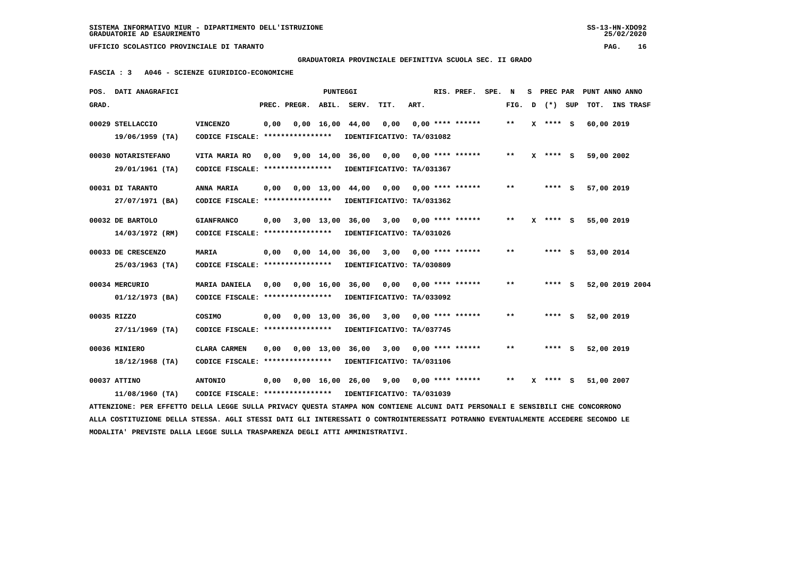**GRADUATORIA PROVINCIALE DEFINITIVA SCUOLA SEC. II GRADO**

 **FASCIA : 3 A046 - SCIENZE GIURIDICO-ECONOMICHE**

|       | POS. DATI ANAGRAFICI                                                                                                            |                                                            |      |              | PUNTEGGI           |                                |                                          |      | RIS. PREF.         | SPE. N |                            | s | PREC PAR     | PUNT ANNO ANNO  |           |
|-------|---------------------------------------------------------------------------------------------------------------------------------|------------------------------------------------------------|------|--------------|--------------------|--------------------------------|------------------------------------------|------|--------------------|--------|----------------------------|---|--------------|-----------------|-----------|
| GRAD. |                                                                                                                                 |                                                            |      | PREC. PREGR. | ABIL.              | SERV.                          | TIT.                                     | ART. |                    |        | FIG.                       | D | (*) SUP      | TOT.            | INS TRASF |
|       | 00029 STELLACCIO                                                                                                                | <b>VINCENZO</b>                                            | 0,00 |              |                    | $0,00 \quad 16,00 \quad 44,00$ | 0,00                                     |      | $0,00$ **** ****** |        | $* *$                      |   | X **** S     | 60,00 2019      |           |
|       | $19/06/1959$ (TA)                                                                                                               | CODICE FISCALE: ****************                           |      |              |                    |                                | IDENTIFICATIVO: TA/031082                |      |                    |        |                            |   |              |                 |           |
|       | 00030 NOTARISTEFANO                                                                                                             | VITA MARIA RO                                              | 0.00 |              |                    | 9,00 14,00 36,00               | 0,00                                     |      | $0.00$ **** ****** |        | $* *$                      |   | $X$ **** $S$ | 59,00 2002      |           |
|       | 29/01/1961 (TA)                                                                                                                 | CODICE FISCALE: ****************                           |      |              |                    |                                | IDENTIFICATIVO: TA/031367                |      |                    |        |                            |   |              |                 |           |
|       | 00031 DI TARANTO                                                                                                                | ANNA MARIA                                                 | 0,00 |              |                    |                                | 0,00 13,00 44,00 0,00 0,00 **** ******   |      |                    |        | $**$                       |   | **** S       | 57,00 2019      |           |
|       | 27/07/1971 (BA)                                                                                                                 | CODICE FISCALE: ****************                           |      |              |                    |                                | IDENTIFICATIVO: TA/031362                |      |                    |        |                            |   |              |                 |           |
|       | 00032 DE BARTOLO                                                                                                                | <b>GIANFRANCO</b>                                          | 0,00 |              | 3,00 13,00         | 36,00                          | 3,00                                     |      | $0,00$ **** ****** |        | **                         |   | $X$ **** S   | 55,00 2019      |           |
|       | 14/03/1972 (RM)                                                                                                                 | CODICE FISCALE: *****************                          |      |              |                    |                                | IDENTIFICATIVO: TA/031026                |      |                    |        |                            |   |              |                 |           |
|       | 00033 DE CRESCENZO                                                                                                              | <b>MARIA</b>                                               | 0,00 |              |                    | 0,00 14,00 36,00               | $3,00$ 0,00 **** ******                  |      |                    |        | $* *$                      |   | **** S       | 53,00 2014      |           |
|       | 25/03/1963 (TA)                                                                                                                 | CODICE FISCALE: ****************                           |      |              |                    |                                | IDENTIFICATIVO: TA/030809                |      |                    |        |                            |   |              |                 |           |
|       | 00034 MERCURIO                                                                                                                  | MARIA DANIELA                                              | 0,00 |              | $0,00 \quad 16,00$ |                                | 36,00 0,00                               |      | $0,00$ **** ****** |        | **                         |   | $***$ S      | 52,00 2019 2004 |           |
|       | $01/12/1973$ (BA)                                                                                                               | CODICE FISCALE: *****************                          |      |              |                    |                                | IDENTIFICATIVO: TA/033092                |      |                    |        |                            |   |              |                 |           |
|       | 00035 RIZZO                                                                                                                     | <b>COSIMO</b>                                              | 0,00 |              |                    |                                | $0,00$ 13,00 36,00 3,00 0,00 **** ****** |      |                    |        | $**$                       |   | **** S       | 52,00 2019      |           |
|       | $27/11/1969$ (TA)                                                                                                               | CODICE FISCALE: ****************                           |      |              |                    |                                | IDENTIFICATIVO: TA/037745                |      |                    |        |                            |   |              |                 |           |
|       | 00036 MINIERO                                                                                                                   | CLARA CARMEN                                               | 0,00 |              | 0,00 13,00         |                                | 36,00 3,00                               |      | $0.00$ **** ****** |        | $\pmb{\times}\pmb{\times}$ |   | **** S       | 52,00 2019      |           |
|       | 18/12/1968 (TA)                                                                                                                 | CODICE FISCALE: *****************                          |      |              |                    |                                | IDENTIFICATIVO: TA/031106                |      |                    |        |                            |   |              |                 |           |
|       | 00037 ATTINO                                                                                                                    | <b>ANTONIO</b>                                             | 0,00 |              |                    |                                | $0,00$ 16,00 26,00 9,00 0,00 **** ****** |      |                    |        | $***$                      |   | $X$ **** S   | 51,00 2007      |           |
|       | $11/08/1960$ (TA)                                                                                                               | CODICE FISCALE: **************** IDENTIFICATIVO: TA/031039 |      |              |                    |                                |                                          |      |                    |        |                            |   |              |                 |           |
|       | ATTENZIONE: PER EFFETTO DELLA LEGGE SULLA PRIVACY QUESTA STAMPA NON CONTIENE ALCUNI DATI PERSONALI E SENSIBILI CHE CONCORRONO   |                                                            |      |              |                    |                                |                                          |      |                    |        |                            |   |              |                 |           |
|       | ALLA COSTITUZIONE DELLA STESSA. AGLI STESSI DATI GLI INTERESSATI O CONTROINTERESSATI POTRANNO EVENTUALMENTE ACCEDERE SECONDO LE |                                                            |      |              |                    |                                |                                          |      |                    |        |                            |   |              |                 |           |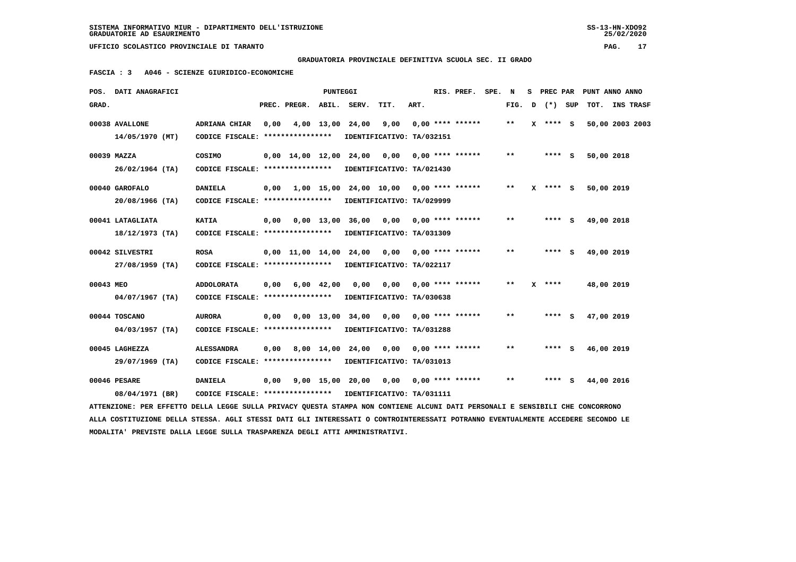### **GRADUATORIA PROVINCIALE DEFINITIVA SCUOLA SEC. II GRADO**

 **FASCIA : 3 A046 - SCIENZE GIURIDICO-ECONOMICHE**

|           | POS. DATI ANAGRAFICI                                                                                                          |                                                            |      |                                            | <b>PUNTEGGI</b> |                                                |                       |      | RIS. PREF.            | SPE. | N                          | s. | PREC PAR   |            | PUNT ANNO ANNO  |
|-----------|-------------------------------------------------------------------------------------------------------------------------------|------------------------------------------------------------|------|--------------------------------------------|-----------------|------------------------------------------------|-----------------------|------|-----------------------|------|----------------------------|----|------------|------------|-----------------|
| GRAD.     |                                                                                                                               |                                                            |      | PREC. PREGR. ABIL. SERV.                   |                 |                                                | TIT.                  | ART. |                       |      | FIG.                       | D  | (*) SUP    |            | TOT. INS TRASF  |
|           | 00038 AVALLONE                                                                                                                | ADRIANA CHIAR                                              | 0,00 |                                            |                 | 4,00 13,00 24,00                               | 9,00                  |      | $0.00$ **** ******    |      | $***$                      |    | X **** S   |            | 50,00 2003 2003 |
|           | 14/05/1970 (MT)                                                                                                               | CODICE FISCALE: **************** IDENTIFICATIVO: TA/032151 |      |                                            |                 |                                                |                       |      |                       |      |                            |    |            |            |                 |
|           | 00039 MAZZA                                                                                                                   | COSIMO                                                     |      | $0.00 \quad 14.00 \quad 12.00 \quad 24.00$ |                 |                                                | 0.00                  |      | $0.00$ **** ******    |      | $* *$                      |    | **** S     | 50,00 2018 |                 |
|           | $26/02/1964$ (TA)                                                                                                             | CODICE FISCALE: *****************                          |      |                                            |                 | IDENTIFICATIVO: TA/021430                      |                       |      |                       |      |                            |    |            |            |                 |
|           | 00040 GAROFALO                                                                                                                | <b>DANIELA</b>                                             |      |                                            |                 | $0,00$ 1,00 15,00 24,00 10,00 0,00 **** ****** |                       |      |                       |      | $* *$                      |    | $X$ **** S | 50,00 2019 |                 |
|           | $20/08/1966$ (TA)                                                                                                             | CODICE FISCALE: *****************                          |      |                                            |                 | IDENTIFICATIVO: TA/029999                      |                       |      |                       |      |                            |    |            |            |                 |
|           | 00041 LATAGLIATA                                                                                                              | <b>KATIA</b>                                               | 0,00 |                                            |                 | $0,00$ 13,00 36,00 0,00 0,00 **** ******       |                       |      |                       |      | $***$                      |    | **** S     | 49,00 2018 |                 |
|           | $18/12/1973$ (TA)                                                                                                             | CODICE FISCALE: *****************                          |      |                                            |                 | IDENTIFICATIVO: TA/031309                      |                       |      |                       |      |                            |    |            |            |                 |
|           | 00042 SILVESTRI                                                                                                               | <b>ROSA</b>                                                |      | $0.00 \quad 11.00 \quad 14.00 \quad 24.00$ |                 |                                                | 0,00 0,00 **** ****** |      |                       |      | $\pmb{\times}\pmb{\times}$ |    | **** S     | 49,00 2019 |                 |
|           | $27/08/1959$ (TA)                                                                                                             | CODICE FISCALE: *****************                          |      |                                            |                 | IDENTIFICATIVO: TA/022117                      |                       |      |                       |      |                            |    |            |            |                 |
| 00043 MEO |                                                                                                                               | <b>ADDOLORATA</b>                                          | 0,00 |                                            | $6,00$ $42,00$  | 0,00                                           |                       |      | 0,00 0,00 **** ****** |      | $* *$                      |    | $X$ ****   | 48,00 2019 |                 |
|           | $04/07/1967$ (TA)                                                                                                             | CODICE FISCALE: ****************                           |      |                                            |                 | IDENTIFICATIVO: TA/030638                      |                       |      |                       |      |                            |    |            |            |                 |
|           | 00044 TOSCANO                                                                                                                 | <b>AURORA</b>                                              | 0,00 |                                            |                 | 0,00 13,00 34,00                               | 0,00                  |      | $0.00$ **** ******    |      | $\star\star$               |    | **** S     | 47,00 2019 |                 |
|           | $04/03/1957$ (TA)                                                                                                             | CODICE FISCALE: ****************                           |      |                                            |                 | IDENTIFICATIVO: TA/031288                      |                       |      |                       |      |                            |    |            |            |                 |
|           | 00045 LAGHEZZA                                                                                                                | <b>ALESSANDRA</b>                                          | 0.00 |                                            |                 | 8,00 14,00 24,00                               | 0,00                  |      | $0.00$ **** ******    |      | $* *$                      |    | $***$ S    | 46,00 2019 |                 |
|           | 29/07/1969 (TA)                                                                                                               | CODICE FISCALE: ****************                           |      |                                            |                 | IDENTIFICATIVO: TA/031013                      |                       |      |                       |      |                            |    |            |            |                 |
|           | 00046 PESARE                                                                                                                  | <b>DANIELA</b>                                             | 0,00 |                                            |                 | 9,00 15,00 20,00 0,00 0,00 **** ******         |                       |      |                       |      | $* *$                      |    | **** S     | 44,00 2016 |                 |
|           | 08/04/1971 (BR)                                                                                                               | CODICE FISCALE: *****************                          |      |                                            |                 | IDENTIFICATIVO: TA/031111                      |                       |      |                       |      |                            |    |            |            |                 |
|           | ATTENZIONE: PER EFFETTO DELLA LEGGE SULLA PRIVACY QUESTA STAMPA NON CONTIENE ALCUNI DATI PERSONALI E SENSIBILI CHE CONCORRONO |                                                            |      |                                            |                 |                                                |                       |      |                       |      |                            |    |            |            |                 |

 **ALLA COSTITUZIONE DELLA STESSA. AGLI STESSI DATI GLI INTERESSATI O CONTROINTERESSATI POTRANNO EVENTUALMENTE ACCEDERE SECONDO LE MODALITA' PREVISTE DALLA LEGGE SULLA TRASPARENZA DEGLI ATTI AMMINISTRATIVI.**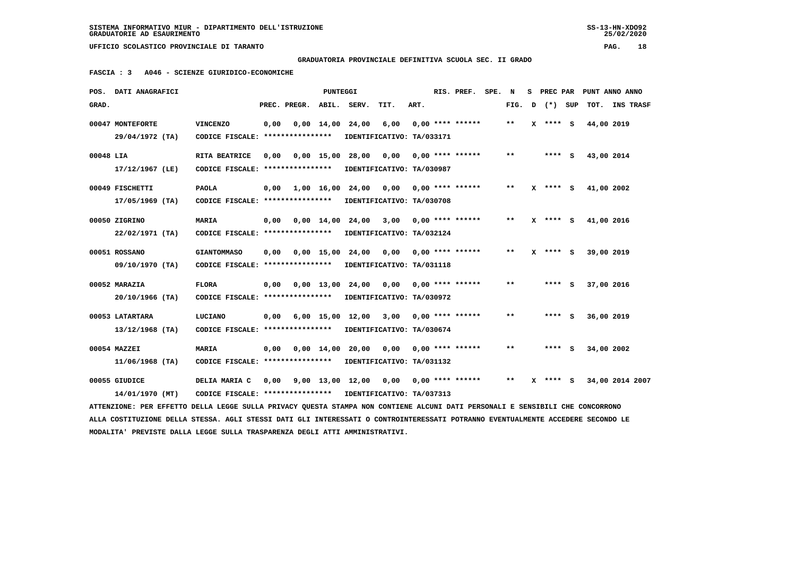#### **GRADUATORIA PROVINCIALE DEFINITIVA SCUOLA SEC. II GRADO**

 **FASCIA : 3 A046 - SCIENZE GIURIDICO-ECONOMICHE**

|           | POS. DATI ANAGRAFICI                                                                                                            |                                                            |      |                          | PUNTEGGI |                                |                                                                  |      | RIS. PREF. SPE. N  |                            |              |            | S PREC PAR PUNT ANNO ANNO |
|-----------|---------------------------------------------------------------------------------------------------------------------------------|------------------------------------------------------------|------|--------------------------|----------|--------------------------------|------------------------------------------------------------------|------|--------------------|----------------------------|--------------|------------|---------------------------|
| GRAD.     |                                                                                                                                 |                                                            |      | PREC. PREGR. ABIL. SERV. |          |                                | TIT.                                                             | ART. |                    | FIG.                       | D (*) SUP    |            | TOT. INS TRASF            |
|           | 00047 MONTEFORTE                                                                                                                | <b>VINCENZO</b>                                            | 0,00 |                          |          | $0,00$ $14,00$ $24,00$ $6,00$  |                                                                  |      | $0.00$ **** ****** | $* *$                      | $X$ **** S   | 44,00 2019 |                           |
|           | 29/04/1972 (TA)                                                                                                                 | CODICE FISCALE: *****************                          |      |                          |          |                                | IDENTIFICATIVO: TA/033171                                        |      |                    |                            |              |            |                           |
| 00048 LIA |                                                                                                                                 | RITA BEATRICE                                              | 0.00 |                          |          | 0,00 15,00 28,00 0,00          |                                                                  |      | $0.00$ **** ****** | $\pmb{\times}\pmb{\times}$ | $***$ S      | 43,00 2014 |                           |
|           | 17/12/1967 (LE)                                                                                                                 | CODICE FISCALE: *****************                          |      |                          |          |                                | IDENTIFICATIVO: TA/030987                                        |      |                    |                            |              |            |                           |
|           | 00049 FISCHETTI                                                                                                                 | <b>PAOLA</b>                                               |      |                          |          |                                | 0,00    1,00    16,00    24,00    0,00    0,00    ****    ****** |      |                    | $**$                       | $X$ **** S   | 41,00 2002 |                           |
|           | $17/05/1969$ (TA)                                                                                                               | CODICE FISCALE: ****************                           |      |                          |          |                                | IDENTIFICATIVO: TA/030708                                        |      |                    |                            |              |            |                           |
|           | 00050 ZIGRINO                                                                                                                   | <b>MARIA</b>                                               | 0,00 |                          |          | $0.00 \quad 14.00 \quad 24.00$ | 3,00 0,00 **** ******                                            |      |                    | $***$                      | $X$ **** S   | 41,00 2016 |                           |
|           | 22/02/1971 (TA)                                                                                                                 | CODICE FISCALE: *****************                          |      |                          |          |                                | IDENTIFICATIVO: TA/032124                                        |      |                    |                            |              |            |                           |
|           | 00051 ROSSANO                                                                                                                   | <b>GIANTOMMASO</b>                                         |      |                          |          |                                | $0,00$ $0,00$ $15,00$ $24,00$ $0,00$ $0,00$ $***$ **** ******    |      |                    | $* *$                      | $X$ **** $S$ | 39,00 2019 |                           |
|           | 09/10/1970 (TA)                                                                                                                 | CODICE FISCALE: *****************                          |      |                          |          |                                | IDENTIFICATIVO: TA/031118                                        |      |                    |                            |              |            |                           |
|           | 00052 MARAZIA                                                                                                                   | <b>FLORA</b>                                               | 0,00 |                          |          |                                | 0,00 13,00 24,00 0,00 0,00 **** ******                           |      |                    | $* *$                      | $***$ S      | 37,00 2016 |                           |
|           | $20/10/1966$ (TA)                                                                                                               | CODICE FISCALE: ****************                           |      |                          |          |                                | IDENTIFICATIVO: TA/030972                                        |      |                    |                            |              |            |                           |
|           | 00053 LATARTARA                                                                                                                 | LUCIANO                                                    |      |                          |          |                                | $0,00$ 6,00 15,00 12,00 3,00 0,00 **** ******                    |      |                    | $**$                       | $***$ S      | 36,00 2019 |                           |
|           | $13/12/1968$ (TA)                                                                                                               | CODICE FISCALE: ****************                           |      |                          |          |                                | IDENTIFICATIVO: TA/030674                                        |      |                    |                            |              |            |                           |
|           | 00054 MAZZEI                                                                                                                    | <b>MARIA</b>                                               |      | $0,00$ $0,00$ $14,00$    |          |                                | 20,00 0,00 0,00 **** ******                                      |      |                    | $* *$                      | $***$ S      | 34,00 2002 |                           |
|           | $11/06/1968$ (TA)                                                                                                               | CODICE FISCALE: *****************                          |      |                          |          |                                | IDENTIFICATIVO: TA/031132                                        |      |                    |                            |              |            |                           |
|           | 00055 GIUDICE                                                                                                                   | DELIA MARIA C                                              |      |                          |          |                                | 0,00 9,00 13,00 12,00 0,00 0,00 **** ******                      |      |                    | $* *$                      | X **** S     |            | 34,00 2014 2007           |
|           | 14/01/1970 (MT)                                                                                                                 | CODICE FISCALE: **************** IDENTIFICATIVO: TA/037313 |      |                          |          |                                |                                                                  |      |                    |                            |              |            |                           |
|           | ATTENZIONE: PER EFFETTO DELLA LEGGE SULLA PRIVACY QUESTA STAMPA NON CONTIENE ALCUNI DATI PERSONALI E SENSIBILI CHE CONCORRONO   |                                                            |      |                          |          |                                |                                                                  |      |                    |                            |              |            |                           |
|           | ALLA COSTITUZIONE DELLA STESSA. AGLI STESSI DATI GLI INTERESSATI O CONTROINTERESSATI POTRANNO EVENTUALMENTE ACCEDERE SECONDO LE |                                                            |      |                          |          |                                |                                                                  |      |                    |                            |              |            |                           |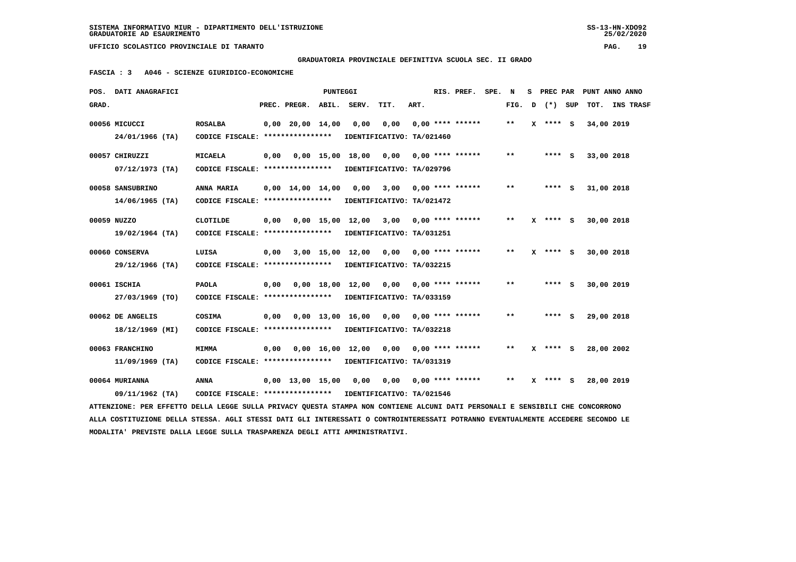### **GRADUATORIA PROVINCIALE DEFINITIVA SCUOLA SEC. II GRADO**

 **FASCIA : 3 A046 - SCIENZE GIURIDICO-ECONOMICHE**

| POS.  | DATI ANAGRAFICI                                                                                                               |                                                                            |      |                                | PUNTEGGI |                                                                       |                       |      | RIS. PREF. SPE.    | N            |   | S PREC PAR   |            | PUNT ANNO ANNO |
|-------|-------------------------------------------------------------------------------------------------------------------------------|----------------------------------------------------------------------------|------|--------------------------------|----------|-----------------------------------------------------------------------|-----------------------|------|--------------------|--------------|---|--------------|------------|----------------|
| GRAD. |                                                                                                                               |                                                                            |      | PREC. PREGR.                   |          | ABIL. SERV.                                                           | TIT.                  | ART. |                    | FIG.         | D | (*) SUP      |            | TOT. INS TRASF |
|       | 00056 MICUCCI<br>24/01/1966 (TA)                                                                                              | <b>ROSALBA</b><br>CODICE FISCALE: *****************                        |      | $0,00$ 20,00 14,00             |          | 0,00<br>IDENTIFICATIVO: TA/021460                                     | 0,00                  |      | $0.00$ **** ****** | **           |   | $X$ **** S   | 34,00 2019 |                |
|       | 00057 CHIRUZZI                                                                                                                | <b>MICAELA</b>                                                             | 0,00 |                                |          | $0,00$ 15,00 18,00                                                    | 0,00                  |      | $0.00$ **** ****** | $* *$        |   | **** S       | 33,00 2018 |                |
|       | $07/12/1973$ (TA)<br>00058 SANSUBRINO                                                                                         | CODICE FISCALE: ****************<br>ANNA MARIA                             |      | $0,00 \quad 14,00 \quad 14,00$ |          | IDENTIFICATIVO: TA/029796<br>0,00                                     | 3,00                  |      | $0,00$ **** ****** | $* *$        |   | **** S       | 31,00 2018 |                |
|       | $14/06/1965$ (TA)<br>00059 NUZZO                                                                                              | CODICE FISCALE: *****************<br>CLOTILDE                              | 0,00 |                                |          | IDENTIFICATIVO: TA/021472<br>0,00 15,00 12,00                         | 3,00 0,00 **** ****** |      |                    | $* *$        |   | X **** S     | 30,00 2018 |                |
|       | $19/02/1964$ (TA)                                                                                                             | CODICE FISCALE: ****************                                           |      |                                |          | IDENTIFICATIVO: TA/031251                                             |                       |      |                    |              |   |              |            |                |
|       | 00060 CONSERVA<br>29/12/1966 (TA)                                                                                             | LUISA<br>CODICE FISCALE: ****************                                  | 0,00 |                                |          | 3,00 15,00 12,00<br>IDENTIFICATIVO: TA/032215                         |                       |      |                    | $***$        |   | $X$ **** S   | 30,00 2018 |                |
|       | 00061 ISCHIA<br>27/03/1969 (TO)                                                                                               | <b>PAOLA</b><br>CODICE FISCALE: **************** IDENTIFICATIVO: TA/033159 | 0,00 |                                |          | 0,00 18,00 12,00                                                      |                       |      |                    | $* *$        |   | **** S       | 30,00 2019 |                |
|       | 00062 DE ANGELIS<br>18/12/1969 (MI)                                                                                           | COSIMA<br>CODICE FISCALE: *****************                                | 0,00 |                                |          | $0,00$ 13,00 16,00 0,00 0,00 **** ******<br>IDENTIFICATIVO: TA/032218 |                       |      |                    | **           |   | **** S       | 29,00 2018 |                |
|       | 00063 FRANCHINO                                                                                                               | <b>MIMMA</b>                                                               | 0.00 |                                |          | $0.00 \quad 16.00 \quad 12.00$                                        | 0,00                  |      | $0.00$ **** ****** | $* *$        | x | **** S       | 28,00 2002 |                |
|       | $11/09/1969$ (TA)                                                                                                             | CODICE FISCALE: ****************                                           |      |                                |          | IDENTIFICATIVO: TA/031319                                             |                       |      |                    |              |   |              |            |                |
|       | 00064 MURIANNA<br>09/11/1962 (TA)                                                                                             | ANNA<br>CODICE FISCALE: **************** IDENTIFICATIVO: TA/021546         |      | $0.00 \quad 13.00 \quad 15.00$ |          | 0,00                                                                  |                       |      |                    | $\star\star$ |   | $X$ **** $S$ | 28,00 2019 |                |
|       | ATTENZIONE: PER EFFETTO DELLA LEGGE SULLA PRIVACY QUESTA STAMPA NON CONTIENE ALCUNI DATI PERSONALI E SENSIBILI CHE CONCORRONO |                                                                            |      |                                |          |                                                                       |                       |      |                    |              |   |              |            |                |

 **ALLA COSTITUZIONE DELLA STESSA. AGLI STESSI DATI GLI INTERESSATI O CONTROINTERESSATI POTRANNO EVENTUALMENTE ACCEDERE SECONDO LE MODALITA' PREVISTE DALLA LEGGE SULLA TRASPARENZA DEGLI ATTI AMMINISTRATIVI.**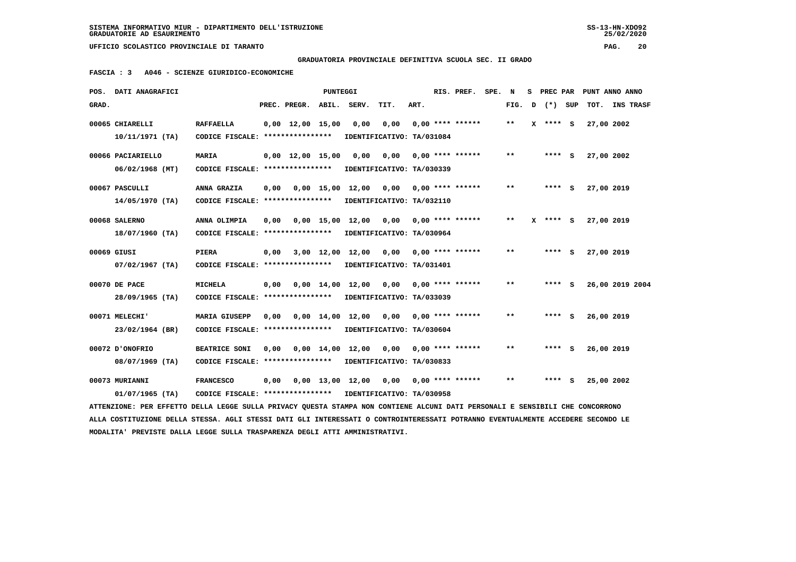$25/02/2020$ 

 **GRADUATORIA PROVINCIALE DEFINITIVA SCUOLA SEC. II GRADO**

 **FASCIA : 3 A046 - SCIENZE GIURIDICO-ECONOMICHE**

|       | POS. DATI ANAGRAFICI                                                                                                            |                                                            |      |                                | PUNTEGGI |                                          |                       |      | RIS. PREF. SPE. N  |       |   | S PREC PAR   | PUNT ANNO ANNO |                 |  |
|-------|---------------------------------------------------------------------------------------------------------------------------------|------------------------------------------------------------|------|--------------------------------|----------|------------------------------------------|-----------------------|------|--------------------|-------|---|--------------|----------------|-----------------|--|
| GRAD. |                                                                                                                                 |                                                            |      | PREC. PREGR. ABIL. SERV.       |          |                                          | TIT.                  | ART. |                    | FIG.  | D | (*) SUP      |                | TOT. INS TRASF  |  |
|       | 00065 CHIARELLI                                                                                                                 | <b>RAFFAELLA</b>                                           |      | $0.00 \quad 12.00 \quad 15.00$ |          | 0.00                                     | 0,00                  |      | $0.00$ **** ****** | $* *$ |   | $X$ **** $S$ | 27,00 2002     |                 |  |
|       | $10/11/1971$ (TA)                                                                                                               | CODICE FISCALE: ****************                           |      |                                |          | IDENTIFICATIVO: TA/031084                |                       |      |                    |       |   |              |                |                 |  |
|       | 00066 PACIARIELLO                                                                                                               | <b>MARIA</b>                                               |      | $0.00 \quad 12.00 \quad 15.00$ |          | 0.00                                     | 0,00                  |      | $0.00$ **** ****** | $* *$ |   | **** S       | 27,00 2002     |                 |  |
|       | $06/02/1968$ (MT)                                                                                                               | CODICE FISCALE: ****************                           |      |                                |          | IDENTIFICATIVO: TA/030339                |                       |      |                    |       |   |              |                |                 |  |
|       | 00067 PASCULLI                                                                                                                  | ANNA GRAZIA                                                | 0.00 |                                |          | $0.00$ 15.00 12.00 0.00 0.00 **** ****** |                       |      |                    | $* *$ |   | **** S       | 27,00 2019     |                 |  |
|       | $14/05/1970$ (TA)                                                                                                               | CODICE FISCALE: ****************                           |      |                                |          | IDENTIFICATIVO: TA/032110                |                       |      |                    |       |   |              |                |                 |  |
|       | 00068 SALERNO                                                                                                                   | ANNA OLIMPIA                                               | 0.00 |                                |          | 0,00 15,00 12,00 0,00                    |                       |      | $0.00$ **** ****** | $***$ | x | **** S       | 27,00 2019     |                 |  |
|       | 18/07/1960 (TA)                                                                                                                 | CODICE FISCALE: ****************                           |      |                                |          | IDENTIFICATIVO: TA/030964                |                       |      |                    |       |   |              |                |                 |  |
|       | 00069 GIUSI                                                                                                                     | PIERA                                                      | 0.00 |                                |          | 3,00 12,00 12,00                         | 0.00                  |      | $0.00$ **** ****** | $* *$ |   | **** S       | 27,00 2019     |                 |  |
|       | $07/02/1967$ (TA)                                                                                                               | CODICE FISCALE: *****************                          |      |                                |          | IDENTIFICATIVO: TA/031401                |                       |      |                    |       |   |              |                |                 |  |
|       | 00070 DE PACE                                                                                                                   | <b>MICHELA</b>                                             | 0,00 |                                |          | 0,00 14,00 12,00 0,00                    |                       |      | $0.00$ **** ****** | $* *$ |   | **** S       |                | 26,00 2019 2004 |  |
|       | 28/09/1965 (TA)                                                                                                                 | CODICE FISCALE: ****************                           |      |                                |          | IDENTIFICATIVO: TA/033039                |                       |      |                    |       |   |              |                |                 |  |
|       | 00071 MELECHI'                                                                                                                  | <b>MARIA GIUSEPP</b>                                       | 0,00 |                                |          | $0,00 \quad 14,00 \quad 12,00$           | 0,00                  |      | $0.00$ **** ****** | $* *$ |   | **** S       | 26,00 2019     |                 |  |
|       | 23/02/1964 (BR)                                                                                                                 | CODICE FISCALE: ****************                           |      |                                |          | IDENTIFICATIVO: TA/030604                |                       |      |                    |       |   |              |                |                 |  |
|       | 00072 D'ONOFRIO                                                                                                                 | <b>BEATRICE SONI</b>                                       | 0.00 |                                |          | $0,00 \quad 14,00 \quad 12,00$           | 0,00 0,00 **** ****** |      |                    | $* *$ |   | **** S       | 26,00 2019     |                 |  |
|       | 08/07/1969 (TA)                                                                                                                 | CODICE FISCALE: ****************                           |      |                                |          | IDENTIFICATIVO: TA/030833                |                       |      |                    |       |   |              |                |                 |  |
|       | 00073 MURIANNI                                                                                                                  | <b>FRANCESCO</b>                                           | 0,00 |                                |          | $0,00$ 13,00 12,00                       | 0,00 0,00 **** ****** |      |                    | $* *$ |   | **** S       | 25,00 2002     |                 |  |
|       | $01/07/1965$ (TA)                                                                                                               | CODICE FISCALE: **************** IDENTIFICATIVO: TA/030958 |      |                                |          |                                          |                       |      |                    |       |   |              |                |                 |  |
|       | ATTENZIONE: PER EFFETTO DELLA LEGGE SULLA PRIVACY QUESTA STAMPA NON CONTIENE ALCUNI DATI PERSONALI E SENSIBILI CHE CONCORRONO   |                                                            |      |                                |          |                                          |                       |      |                    |       |   |              |                |                 |  |
|       | ALLA COSTITUZIONE DELLA STESSA. AGLI STESSI DATI GLI INTERESSATI O CONTROINTERESSATI POTRANNO EVENTUALMENTE ACCEDERE SECONDO LE |                                                            |      |                                |          |                                          |                       |      |                    |       |   |              |                |                 |  |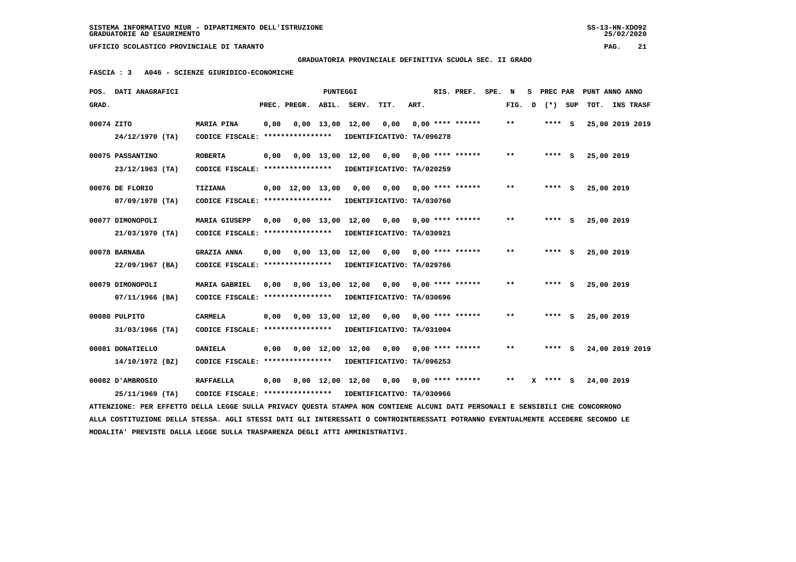$25/02/2020$ 

 **GRADUATORIA PROVINCIALE DEFINITIVA SCUOLA SEC. II GRADO**

 **FASCIA : 3 A046 - SCIENZE GIURIDICO-ECONOMICHE**

|            | POS. DATI ANAGRAFICI                                                                                                            |                                   |      |                                | PUNTEGGI   |                                |                           |      | RIS. PREF. SPE.    | N                          |   | S PREC PAR |            | PUNT ANNO ANNO   |  |
|------------|---------------------------------------------------------------------------------------------------------------------------------|-----------------------------------|------|--------------------------------|------------|--------------------------------|---------------------------|------|--------------------|----------------------------|---|------------|------------|------------------|--|
| GRAD.      |                                                                                                                                 |                                   |      | PREC. PREGR. ABIL. SERV.       |            |                                | TIT.                      | ART. |                    | FIG.                       | D | (*) SUP    | тот.       | <b>INS TRASF</b> |  |
| 00074 ZITO |                                                                                                                                 | MARIA PINA                        | 0,00 |                                |            | $0,00 \quad 13,00 \quad 12,00$ | 0,00                      |      | $0.00$ **** ****** | $* *$                      |   | **** S     |            | 25,00 2019 2019  |  |
|            | 24/12/1970 (TA)                                                                                                                 | CODICE FISCALE: ****************  |      |                                |            |                                | IDENTIFICATIVO: TA/096278 |      |                    |                            |   |            |            |                  |  |
|            | 00075 PASSANTINO                                                                                                                | <b>ROBERTA</b>                    | 0,00 |                                |            | $0,00$ 13,00 12,00             | 0,00                      |      | $0.00$ **** ****** | $\pmb{\times}\pmb{\times}$ |   | **** S     | 25,00 2019 |                  |  |
|            | $23/12/1963$ (TA)                                                                                                               | CODICE FISCALE: ****************  |      |                                |            |                                | IDENTIFICATIVO: TA/020259 |      |                    |                            |   |            |            |                  |  |
|            | 00076 DE FLORIO                                                                                                                 | <b>TIZIANA</b>                    |      | $0,00 \quad 12,00 \quad 13,00$ |            | 0,00                           | 0,00                      |      | $0.00$ **** ****** | $* *$                      |   | $***$ S    | 25,00 2019 |                  |  |
|            | $07/09/1970$ (TA)                                                                                                               | CODICE FISCALE: ****************  |      |                                |            |                                | IDENTIFICATIVO: TA/030760 |      |                    |                            |   |            |            |                  |  |
|            | 00077 DIMONOPOLI                                                                                                                | <b>MARIA GIUSEPP</b>              | 0.00 |                                | 0,00 13,00 | 12,00                          | 0,00                      |      | $0.00$ **** ****** | $***$                      |   | **** S     | 25,00 2019 |                  |  |
|            | 21/03/1970 (TA)                                                                                                                 | CODICE FISCALE: ***************** |      |                                |            |                                | IDENTIFICATIVO: TA/030921 |      |                    |                            |   |            |            |                  |  |
|            | 00078 BARNABA                                                                                                                   | <b>GRAZIA ANNA</b>                | 0.00 |                                |            | $0.00 \quad 13.00 \quad 12.00$ | 0,00                      |      | $0.00$ **** ****** | **                         |   | **** S     | 25,00 2019 |                  |  |
|            | 22/09/1967 (BA)                                                                                                                 | CODICE FISCALE: ****************  |      |                                |            |                                | IDENTIFICATIVO: TA/029766 |      |                    |                            |   |            |            |                  |  |
|            | 00079 DIMONOPOLI                                                                                                                | <b>MARIA GABRIEL</b>              | 0.00 |                                |            | 0,00 13,00 12,00 0,00          |                           |      | $0.00$ **** ****** | $\star\star$               |   | **** S     | 25,00 2019 |                  |  |
|            | 07/11/1966 (BA)                                                                                                                 | CODICE FISCALE: ****************  |      |                                |            |                                | IDENTIFICATIVO: TA/030696 |      |                    |                            |   |            |            |                  |  |
|            | 00080 PULPITO                                                                                                                   | CARMELA                           | 0.00 |                                |            | 0,00 13,00 12,00               | 0,00                      |      | $0.00$ **** ****** | $* *$                      |   | **** S     | 25,00 2019 |                  |  |
|            | 31/03/1966 (TA)                                                                                                                 | CODICE FISCALE: ***************** |      |                                |            |                                | IDENTIFICATIVO: TA/031004 |      |                    |                            |   |            |            |                  |  |
|            | 00081 DONATIELLO                                                                                                                | <b>DANIELA</b>                    | 0,00 |                                |            | $0,00 \quad 12,00 \quad 12,00$ | 0,00                      |      | $0.00$ **** ****** | $* *$                      |   | **** S     |            | 24,00 2019 2019  |  |
|            | 14/10/1972 (BZ)                                                                                                                 | CODICE FISCALE: ****************  |      |                                |            |                                | IDENTIFICATIVO: TA/096253 |      |                    |                            |   |            |            |                  |  |
|            | 00082 D'AMBROSIO                                                                                                                | <b>RAFFAELLA</b>                  | 0,00 |                                |            | 0,00 12,00 12,00               | 0,00                      |      | $0.00$ **** ****** | $***$                      |   | X **** S   | 24,00 2019 |                  |  |
|            | 25/11/1969 (TA)                                                                                                                 | CODICE FISCALE: ***************** |      |                                |            |                                | IDENTIFICATIVO: TA/030966 |      |                    |                            |   |            |            |                  |  |
|            | ATTENZIONE: PER EFFETTO DELLA LEGGE SULLA PRIVACY OUESTA STAMPA NON CONTIENE ALCUNI DATI PERSONALI E SENSIBILI CHE CONCORRONO   |                                   |      |                                |            |                                |                           |      |                    |                            |   |            |            |                  |  |
|            | ALLA COSTITUZIONE DELLA STESSA. AGLI STESSI DATI GLI INTERESSATI O CONTROINTERESSATI POTRANNO EVENTUALMENTE ACCEDERE SECONDO LE |                                   |      |                                |            |                                |                           |      |                    |                            |   |            |            |                  |  |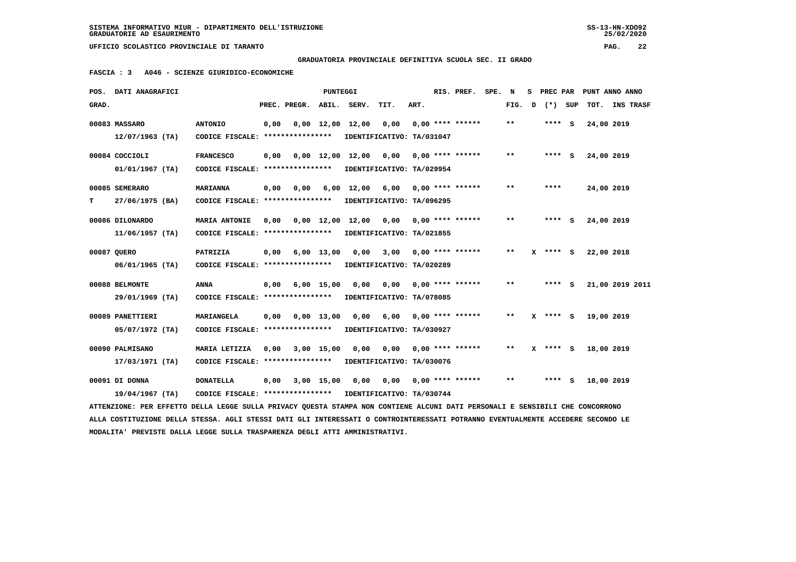**GRADUATORIA PROVINCIALE DEFINITIVA SCUOLA SEC. II GRADO**

 **FASCIA : 3 A046 - SCIENZE GIURIDICO-ECONOMICHE**

|       | POS. DATI ANAGRAFICI                                                                                                            |                                   |      |                          | <b>PUNTEGGI</b> |                                |                                      |      | RIS. PREF.              | SPE. N |       | s |            |            | PREC PAR PUNT ANNO ANNO |
|-------|---------------------------------------------------------------------------------------------------------------------------------|-----------------------------------|------|--------------------------|-----------------|--------------------------------|--------------------------------------|------|-------------------------|--------|-------|---|------------|------------|-------------------------|
| GRAD. |                                                                                                                                 |                                   |      | PREC. PREGR. ABIL. SERV. |                 |                                | TIT.                                 | ART. |                         |        | FIG.  | D | (*) SUP    | тот.       | INS TRASF               |
|       | 00083 MASSARO                                                                                                                   | <b>ANTONIO</b>                    | 0,00 |                          |                 | $0,00 \quad 12,00 \quad 12,00$ | 0,00                                 |      | $0.00$ **** ******      |        | $* *$ |   | $***$ S    | 24,00 2019 |                         |
|       | $12/07/1963$ (TA)                                                                                                               | CODICE FISCALE: ****************  |      |                          |                 |                                | IDENTIFICATIVO: TA/031047            |      |                         |        |       |   |            |            |                         |
|       | 00084 COCCIOLI                                                                                                                  | <b>FRANCESCO</b>                  | 0,00 |                          |                 | $0,00 \quad 12,00 \quad 12,00$ | 0,00                                 |      | $0.00$ **** ******      |        | $* *$ |   | $***$ S    | 24,00 2019 |                         |
|       | $01/01/1967$ (TA)                                                                                                               | CODICE FISCALE: ****************  |      |                          |                 |                                | IDENTIFICATIVO: TA/029954            |      |                         |        |       |   |            |            |                         |
|       | 00085 SEMERARO                                                                                                                  | <b>MARIANNA</b>                   | 0,00 | 0.00                     |                 |                                | $6,00$ 12,00 $6,00$ 0,00 **** ****** |      |                         |        | $* *$ |   | ****       | 24,00 2019 |                         |
| т     | 27/06/1975 (BA)                                                                                                                 | CODICE FISCALE: ****************  |      |                          |                 |                                | IDENTIFICATIVO: TA/096295            |      |                         |        |       |   |            |            |                         |
|       | 00086 DILONARDO                                                                                                                 | <b>MARIA ANTONIE</b>              | 0.00 |                          | 0,00 12,00      | 12,00                          | 0,00                                 |      | $0.00$ **** ******      |        | $* *$ |   | **** S     | 24,00 2019 |                         |
|       | $11/06/1957$ (TA)                                                                                                               | CODICE FISCALE: ****************  |      |                          |                 |                                | IDENTIFICATIVO: TA/021855            |      |                         |        |       |   |            |            |                         |
|       | 00087 OUERO                                                                                                                     | PATRIZIA                          | 0,00 |                          | 6,00 13,00      | 0,00                           |                                      |      | $3,00$ 0,00 **** ****** |        | $* *$ |   | **** S     | 22,00 2018 |                         |
|       | $06/01/1965$ (TA)                                                                                                               | CODICE FISCALE: ***************** |      |                          |                 |                                | IDENTIFICATIVO: TA/020289            |      |                         |        |       |   |            |            |                         |
|       | 00088 BELMONTE                                                                                                                  | <b>ANNA</b>                       | 0,00 |                          | $6,00$ 15,00    | 0,00                           | 0,00                                 |      | $0.00$ **** ******      |        | $* *$ |   | **** S     |            | 21,00 2019 2011         |
|       | 29/01/1969 (TA)                                                                                                                 | CODICE FISCALE: ****************  |      |                          |                 |                                | IDENTIFICATIVO: TA/078085            |      |                         |        |       |   |            |            |                         |
|       | 00089 PANETTIERI                                                                                                                | MARIANGELA                        | 0,00 |                          | $0,00$ 13,00    | 0,00                           | 6,00                                 |      | $0,00$ **** ******      |        | $* *$ |   | $X$ **** S | 19,00 2019 |                         |
|       | 05/07/1972 (TA)                                                                                                                 | CODICE FISCALE: ****************  |      |                          |                 |                                | IDENTIFICATIVO: TA/030927            |      |                         |        |       |   |            |            |                         |
|       | 00090 PALMISANO                                                                                                                 | MARIA LETIZIA                     | 0,00 |                          | 3,00 15,00      | 0,00                           | 0,00                                 |      | $0.00$ **** ******      |        | $* *$ |   | $X$ **** S | 18,00 2019 |                         |
|       | 17/03/1971 (TA)                                                                                                                 | CODICE FISCALE: ****************  |      |                          |                 |                                | IDENTIFICATIVO: TA/030076            |      |                         |        |       |   |            |            |                         |
|       | 00091 DI DONNA                                                                                                                  | <b>DONATELLA</b>                  | 0,00 |                          | 3,00 15,00      | 0.00                           | 0,00                                 |      | $0,00$ **** ******      |        | $* *$ |   | $***$ S    | 18,00 2019 |                         |
|       | 19/04/1967 (TA)                                                                                                                 | CODICE FISCALE: ***************** |      |                          |                 |                                | IDENTIFICATIVO: TA/030744            |      |                         |        |       |   |            |            |                         |
|       | ATTENZIONE: PER EFFETTO DELLA LEGGE SULLA PRIVACY OUESTA STAMPA NON CONTIENE ALCUNI DATI PERSONALI E SENSIBILI CHE CONCORRONO   |                                   |      |                          |                 |                                |                                      |      |                         |        |       |   |            |            |                         |
|       | ALLA COSTITUZIONE DELLA STESSA. AGLI STESSI DATI GLI INTERESSATI O CONTROINTERESSATI POTRANNO EVENTUALMENTE ACCEDERE SECONDO LE |                                   |      |                          |                 |                                |                                      |      |                         |        |       |   |            |            |                         |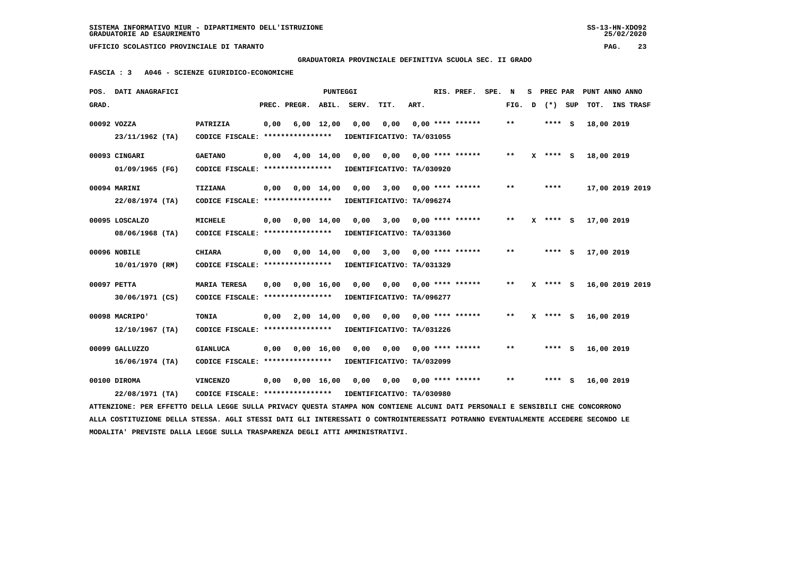$25/02/2020$ 

 **UFFICIO SCOLASTICO PROVINCIALE DI TARANTO PAG. 23**

 **GRADUATORIA PROVINCIALE DEFINITIVA SCUOLA SEC. II GRADO**

 **FASCIA : 3 A046 - SCIENZE GIURIDICO-ECONOMICHE**

|       | POS. DATI ANAGRAFICI                                                                                                            |                                                            |      |                    | PUNTEGGI           |                           |      |      | RIS. PREF.                | SPE. N |       |   |              |         |            | S PREC PAR PUNT ANNO ANNO |
|-------|---------------------------------------------------------------------------------------------------------------------------------|------------------------------------------------------------|------|--------------------|--------------------|---------------------------|------|------|---------------------------|--------|-------|---|--------------|---------|------------|---------------------------|
| GRAD. |                                                                                                                                 |                                                            |      | PREC. PREGR. ABIL. |                    | SERV.                     | TIT. | ART. |                           |        | FIG.  | D |              | (*) SUP |            | TOT. INS TRASF            |
|       | 00092 VOZZA                                                                                                                     | PATRIZIA                                                   | 0,00 |                    | $6,00$ 12,00       | 0,00                      | 0,00 |      | $0.00$ **** ******        |        | $***$ |   | $***$ S      |         | 18,00 2019 |                           |
|       | 23/11/1962 (TA)                                                                                                                 | CODICE FISCALE: ****************                           |      |                    |                    | IDENTIFICATIVO: TA/031055 |      |      |                           |        |       |   |              |         |            |                           |
|       | 00093 CINGARI                                                                                                                   | <b>GAETANO</b>                                             | 0,00 |                    | 4,00 14,00         | 0,00                      | 0,00 |      | $0,00$ **** ******        |        | $* *$ |   | $X$ **** S   |         | 18,00 2019 |                           |
|       | 01/09/1965 (FG)                                                                                                                 | CODICE FISCALE: ****************                           |      |                    |                    | IDENTIFICATIVO: TA/030920 |      |      |                           |        |       |   |              |         |            |                           |
|       | 00094 MARINI                                                                                                                    | <b>TIZIANA</b>                                             | 0,00 |                    | 0,00 14,00         | 0,00                      |      |      | $3,00$ 0,00 **** ******   |        | $* *$ |   | ****         |         |            | 17,00 2019 2019           |
|       | 22/08/1974 (TA)                                                                                                                 | CODICE FISCALE: ****************                           |      |                    |                    | IDENTIFICATIVO: TA/096274 |      |      |                           |        |       |   |              |         |            |                           |
|       |                                                                                                                                 |                                                            |      |                    |                    |                           |      |      |                           |        |       |   |              |         |            |                           |
|       | 00095 LOSCALZO                                                                                                                  | <b>MICHELE</b>                                             | 0,00 |                    | $0,00 \quad 14,00$ | 0,00                      | 3,00 |      | $0.00$ **** ******        |        | $***$ |   | $X$ **** $S$ |         | 17,00 2019 |                           |
|       | 08/06/1968 (TA)                                                                                                                 | CODICE FISCALE: ****************                           |      |                    |                    | IDENTIFICATIVO: TA/031360 |      |      |                           |        |       |   |              |         |            |                           |
|       | 00096 NOBILE                                                                                                                    | <b>CHIARA</b>                                              | 0,00 | 0,00 14,00         |                    | 0,00                      | 3,00 |      | $0.00$ **** ******        |        | $**$  |   | $***$ S      |         | 17,00 2019 |                           |
|       | 10/01/1970 (RM)                                                                                                                 | CODICE FISCALE: *****************                          |      |                    |                    | IDENTIFICATIVO: TA/031329 |      |      |                           |        |       |   |              |         |            |                           |
|       | 00097 PETTA                                                                                                                     | <b>MARIA TERESA</b>                                        | 0,00 |                    | $0,00 \quad 16,00$ | 0,00                      | 0,00 |      | $0.00$ **** ******        |        | $* *$ |   | **** S       |         |            | 16,00 2019 2019           |
|       | 30/06/1971 (CS)                                                                                                                 | CODICE FISCALE: *****************                          |      |                    |                    | IDENTIFICATIVO: TA/096277 |      |      |                           |        |       |   |              |         |            |                           |
|       |                                                                                                                                 |                                                            |      |                    |                    |                           |      |      |                           |        |       |   |              |         |            |                           |
|       | 00098 MACRIPO'                                                                                                                  | <b>TONIA</b>                                               |      | 0,00 2,00 14,00    |                    | 0,00                      | 0.00 |      | $0.00$ **** ******        |        | $* *$ |   | X **** S     |         | 16,00 2019 |                           |
|       | 12/10/1967 (TA)                                                                                                                 | CODICE FISCALE: ****************                           |      |                    |                    | IDENTIFICATIVO: TA/031226 |      |      |                           |        |       |   |              |         |            |                           |
|       | 00099 GALLUZZO                                                                                                                  | <b>GIANLUCA</b>                                            | 0,00 |                    | $0,00 \quad 16,00$ | 0,00                      | 0,00 |      | $0.00$ **** ******        |        | $***$ |   | **** S       |         | 16,00 2019 |                           |
|       | $16/06/1974$ (TA)                                                                                                               | CODICE FISCALE: ****************                           |      |                    |                    | IDENTIFICATIVO: TA/032099 |      |      |                           |        |       |   |              |         |            |                           |
|       |                                                                                                                                 |                                                            |      |                    |                    |                           |      |      |                           |        |       |   |              |         |            |                           |
|       | 00100 DIROMA                                                                                                                    | <b>VINCENZO</b>                                            | 0,00 |                    | 0,00 16,00         | 0,00                      |      |      | $0,00$ $0,00$ **** ****** |        | $* *$ |   | **** S       |         | 16,00 2019 |                           |
|       | 22/08/1971 (TA)                                                                                                                 | CODICE FISCALE: **************** IDENTIFICATIVO: TA/030980 |      |                    |                    |                           |      |      |                           |        |       |   |              |         |            |                           |
|       | ATTENZIONE: PER EFFETTO DELLA LEGGE SULLA PRIVACY QUESTA STAMPA NON CONTIENE ALCUNI DATI PERSONALI E SENSIBILI CHE CONCORRONO   |                                                            |      |                    |                    |                           |      |      |                           |        |       |   |              |         |            |                           |
|       | ALLA COSTITUZIONE DELLA STESSA. AGLI STESSI DATI GLI INTERESSATI O CONTROINTERESSATI POTRANNO EVENTUALMENTE ACCEDERE SECONDO LE |                                                            |      |                    |                    |                           |      |      |                           |        |       |   |              |         |            |                           |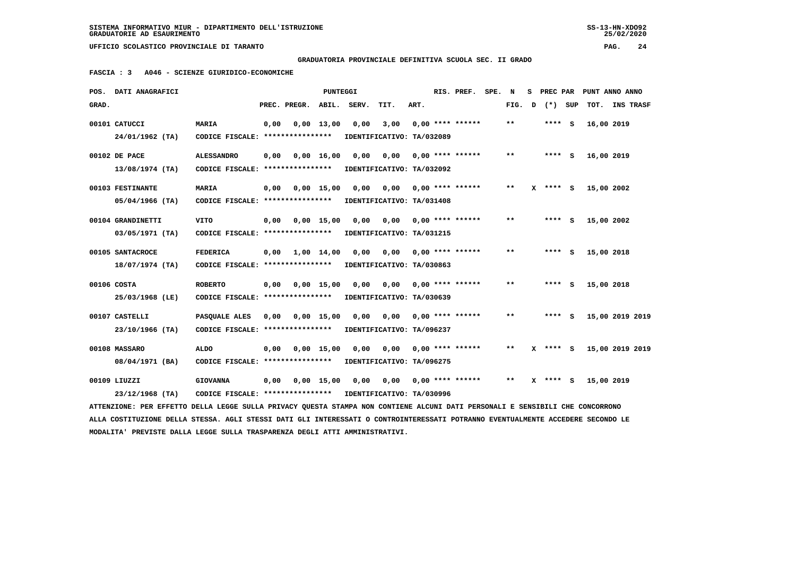$25/02/2020$ 

 **UFFICIO SCOLASTICO PROVINCIALE DI TARANTO PAG. 24**

# **GRADUATORIA PROVINCIALE DEFINITIVA SCUOLA SEC. II GRADO**

 **FASCIA : 3 A046 - SCIENZE GIURIDICO-ECONOMICHE**

|       | POS. DATI ANAGRAFICI                                                                                                            |                                                            |      |              | <b>PUNTEGGI</b>    |      |                                   |      | RIS. PREF.                | SPE. | N     | s. | PREC PAR     | PUNT ANNO ANNO  |  |
|-------|---------------------------------------------------------------------------------------------------------------------------------|------------------------------------------------------------|------|--------------|--------------------|------|-----------------------------------|------|---------------------------|------|-------|----|--------------|-----------------|--|
| GRAD. |                                                                                                                                 |                                                            |      | PREC. PREGR. | ABIL. SERV.        |      | TIT.                              | ART. |                           |      | FIG.  | D  | (*) SUP      | TOT. INS TRASF  |  |
|       | 00101 CATUCCI<br>24/01/1962 (TA)                                                                                                | <b>MARIA</b><br>CODICE FISCALE: ****************           | 0,00 |              | $0,00 \quad 13,00$ | 0,00 | 3,00<br>IDENTIFICATIVO: TA/032089 |      | $0.00$ **** ******        |      | $* *$ |    | **** S       | 16,00 2019      |  |
|       | 00102 DE PACE                                                                                                                   | <b>ALESSANDRO</b>                                          | 0.00 |              | 0.00 16.00         | 0.00 | 0,00                              |      | 0,00 **** ******          |      | $* *$ |    | **** S       | 16,00 2019      |  |
|       | 13/08/1974 (TA)                                                                                                                 | CODICE FISCALE: ****************                           |      |              |                    |      | IDENTIFICATIVO: TA/032092         |      |                           |      |       |    |              |                 |  |
|       | 00103 FESTINANTE                                                                                                                | <b>MARIA</b>                                               | 0,00 | 0,00 15,00   |                    | 0,00 | 0,00                              |      | 0,00 **** ******          |      | $* *$ |    | $X$ **** $S$ | 15,00 2002      |  |
|       | $05/04/1966$ (TA)                                                                                                               | CODICE FISCALE: ****************                           |      |              |                    |      | IDENTIFICATIVO: TA/031408         |      |                           |      |       |    |              |                 |  |
|       | 00104 GRANDINETTI                                                                                                               | <b>VITO</b>                                                | 0,00 |              | $0.00$ 15.00       | 0.00 | 0.00                              |      | $0.00$ **** ******        |      | $* *$ |    | **** S       | 15,00 2002      |  |
|       | 03/05/1971 (TA)                                                                                                                 | CODICE FISCALE: ****************                           |      |              |                    |      | IDENTIFICATIVO: TA/031215         |      |                           |      |       |    |              |                 |  |
|       | 00105 SANTACROCE                                                                                                                | <b>FEDERICA</b>                                            | 0,00 | 1,00 14,00   |                    | 0,00 |                                   |      | $0,00$ $0,00$ **** ****** |      | $* *$ |    | $***$ S      | 15,00 2018      |  |
|       | $18/07/1974$ (TA)                                                                                                               | CODICE FISCALE: ****************                           |      |              |                    |      | IDENTIFICATIVO: TA/030863         |      |                           |      |       |    |              |                 |  |
|       | 00106 COSTA                                                                                                                     | <b>ROBERTO</b>                                             | 0,00 |              | $0.00$ 15.00       | 0.00 | 0,00                              |      | $0.00$ **** ******        |      | $* *$ |    | **** S       | 15,00 2018      |  |
|       | 25/03/1968 (LE)                                                                                                                 | CODICE FISCALE: ****************                           |      |              |                    |      | IDENTIFICATIVO: TA/030639         |      |                           |      |       |    |              |                 |  |
|       | 00107 CASTELLI                                                                                                                  | PASQUALE ALES                                              | 0,00 |              | $0,00$ 15,00       | 0,00 | 0,00                              |      | $0,00$ **** ******        |      | $***$ |    | **** S       | 15,00 2019 2019 |  |
|       | 23/10/1966 (TA)                                                                                                                 | CODICE FISCALE: *****************                          |      |              |                    |      | IDENTIFICATIVO: TA/096237         |      |                           |      |       |    |              |                 |  |
|       | 00108 MASSARO                                                                                                                   | <b>ALDO</b>                                                | 0,00 |              | $0,00$ 15,00       | 0.00 | 0.00                              |      | 0,00 **** ******          |      | $* *$ |    | $X$ **** $S$ | 15,00 2019 2019 |  |
|       | 08/04/1971 (BA)                                                                                                                 | CODICE FISCALE: ****************                           |      |              |                    |      | IDENTIFICATIVO: TA/096275         |      |                           |      |       |    |              |                 |  |
|       | 00109 LIUZZI                                                                                                                    | <b>GIOVANNA</b>                                            | 0,00 |              | $0,00$ 15,00       | 0,00 |                                   |      | $0,00$ 0,00 **** ******   |      | $***$ |    | $X$ **** S   | 15,00 2019      |  |
|       | $23/12/1968$ (TA)                                                                                                               | CODICE FISCALE: **************** IDENTIFICATIVO: TA/030996 |      |              |                    |      |                                   |      |                           |      |       |    |              |                 |  |
|       | ATTENZIONE: PER EFFETTO DELLA LEGGE SULLA PRIVACY OUESTA STAMPA NON CONTIENE ALCUNI DATI PERSONALI E SENSIBILI CHE CONCORRONO   |                                                            |      |              |                    |      |                                   |      |                           |      |       |    |              |                 |  |
|       | ALLA COSTITUZIONE DELLA STESSA. AGLI STESSI DATI GLI INTERESSATI O CONTROINTERESSATI POTRANNO EVENTUALMENTE ACCEDERE SECONDO LE |                                                            |      |              |                    |      |                                   |      |                           |      |       |    |              |                 |  |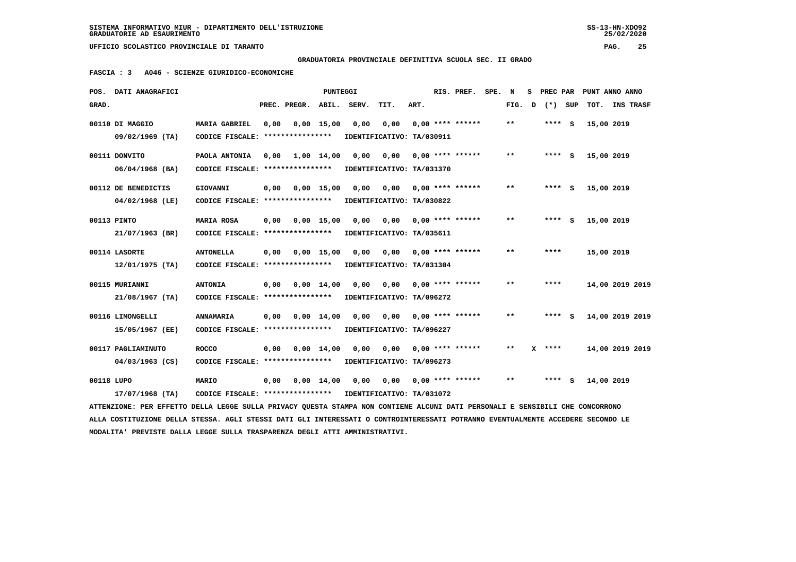$25/02/2020$ 

 **GRADUATORIA PROVINCIALE DEFINITIVA SCUOLA SEC. II GRADO**

 **FASCIA : 3 A046 - SCIENZE GIURIDICO-ECONOMICHE**

|            | POS. DATI ANAGRAFICI                                                                                                            |                                  |      |              | <b>PUNTEGGI</b>    |       |                           |      | RIS. PREF.                | SPE. | N                          | s | PREC PAR |            | PUNT ANNO ANNO   |
|------------|---------------------------------------------------------------------------------------------------------------------------------|----------------------------------|------|--------------|--------------------|-------|---------------------------|------|---------------------------|------|----------------------------|---|----------|------------|------------------|
| GRAD.      |                                                                                                                                 |                                  |      | PREC. PREGR. | ABIL.              | SERV. | TIT.                      | ART. |                           |      | FIG.                       | D | (*) SUP  | TOT.       | <b>INS TRASF</b> |
|            | 00110 DI MAGGIO                                                                                                                 | <b>MARIA GABRIEL</b>             | 0,00 |              | $0,00$ 15,00       | 0,00  | 0,00                      |      | $0.00$ **** ******        |      | $***$                      |   | **** S   | 15,00 2019 |                  |
|            | $09/02/1969$ (TA)                                                                                                               | CODICE FISCALE: **************** |      |              |                    |       | IDENTIFICATIVO: TA/030911 |      |                           |      |                            |   |          |            |                  |
|            | 00111 DONVITO                                                                                                                   | PAOLA ANTONIA                    | 0.00 |              | $1,00$ $14,00$     | 0.00  | 0,00                      |      | 0,00 **** ******          |      | $\pmb{\times}\pmb{\times}$ |   | $***$ S  | 15,00 2019 |                  |
|            | $06/04/1968$ (BA)                                                                                                               | CODICE FISCALE: **************** |      |              |                    |       | IDENTIFICATIVO: TA/031370 |      |                           |      |                            |   |          |            |                  |
|            | 00112 DE BENEDICTIS                                                                                                             | GIOVANNI                         | 0,00 |              | $0,00$ 15,00       | 0,00  |                           |      | $0,00$ $0,00$ **** ****** |      | $***$                      |   | **** S   | 15,00 2019 |                  |
|            | 04/02/1968 (LE)                                                                                                                 | CODICE FISCALE: **************** |      |              |                    |       | IDENTIFICATIVO: TA/030822 |      |                           |      |                            |   |          |            |                  |
|            | 00113 PINTO                                                                                                                     | MARIA ROSA                       | 0,00 |              | $0,00$ 15,00       | 0,00  | 0,00                      |      | $0.00$ **** ******        |      | $\pmb{\times}\pmb{\times}$ |   | $***5$   | 15,00 2019 |                  |
|            | 21/07/1963 (BR)                                                                                                                 | CODICE FISCALE: **************** |      |              |                    |       | IDENTIFICATIVO: TA/035611 |      |                           |      |                            |   |          |            |                  |
|            | 00114 LASORTE                                                                                                                   | <b>ANTONELLA</b>                 | 0,00 |              | 0.00 15.00         | 0,00  |                           |      | $0,00$ $0,00$ **** ****** |      | $* *$                      |   | ****     | 15,00 2019 |                  |
|            | $12/01/1975$ (TA)                                                                                                               | CODICE FISCALE: **************** |      |              |                    |       | IDENTIFICATIVO: TA/031304 |      |                           |      |                            |   |          |            |                  |
|            | 00115 MURIANNI                                                                                                                  | <b>ANTONIA</b>                   | 0,00 |              | $0,00 \quad 14,00$ | 0,00  | 0,00                      |      | $0,00$ **** ******        |      | $* *$                      |   | ****     |            | 14,00 2019 2019  |
|            | 21/08/1967 (TA)                                                                                                                 | CODICE FISCALE: **************** |      |              |                    |       | IDENTIFICATIVO: TA/096272 |      |                           |      |                            |   |          |            |                  |
|            | 00116 LIMONGELLI                                                                                                                | <b>ANNAMARIA</b>                 | 0,00 |              | $0,00 \quad 14,00$ | 0,00  | 0,00                      |      | $0.00$ **** ******        |      | $\pmb{\times}\pmb{\times}$ |   | $***$ S  |            | 14,00 2019 2019  |
|            | 15/05/1967 (EE)                                                                                                                 | CODICE FISCALE: **************** |      |              |                    |       | IDENTIFICATIVO: TA/096227 |      |                           |      |                            |   |          |            |                  |
|            | 00117 PAGLIAMINUTO                                                                                                              | <b>ROCCO</b>                     | 0,00 |              | $0,00 \quad 14,00$ | 0,00  | 0,00                      |      | $0.00$ **** ******        |      | $* *$                      |   | $X$ **** |            | 14,00 2019 2019  |
|            | $04/03/1963$ (CS)                                                                                                               | CODICE FISCALE: **************** |      |              |                    |       | IDENTIFICATIVO: TA/096273 |      |                           |      |                            |   |          |            |                  |
| 00118 LUPO |                                                                                                                                 | MARIO                            | 0,00 |              | $0.00 \quad 14.00$ | 0,00  | 0,00                      |      | $0,00$ **** ******        |      | $***$                      |   | $***$ S  | 14,00 2019 |                  |
|            | 17/07/1968 (TA)                                                                                                                 | CODICE FISCALE: **************** |      |              |                    |       | IDENTIFICATIVO: TA/031072 |      |                           |      |                            |   |          |            |                  |
|            | ATTENZIONE: PER EFFETTO DELLA LEGGE SULLA PRIVACY OUESTA STAMPA NON CONTIENE ALCUNI DATI PERSONALI E SENSIBILI CHE CONCORRONO   |                                  |      |              |                    |       |                           |      |                           |      |                            |   |          |            |                  |
|            | ALLA COSTITUZIONE DELLA STESSA. AGLI STESSI DATI GLI INTERESSATI O CONTROINTERESSATI POTRANNO EVENTUALMENTE ACCEDERE SECONDO LE |                                  |      |              |                    |       |                           |      |                           |      |                            |   |          |            |                  |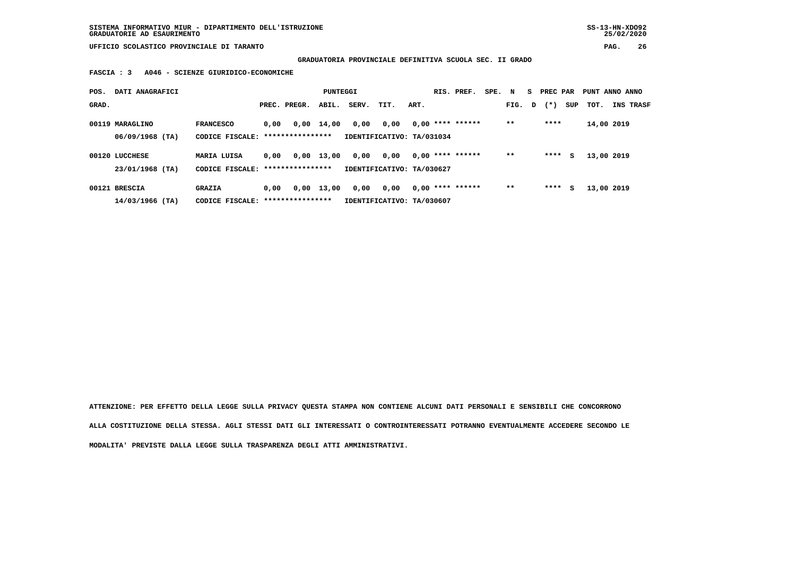## **GRADUATORIA PROVINCIALE DEFINITIVA SCUOLA SEC. II GRADO**

 **FASCIA : 3 A046 - SCIENZE GIURIDICO-ECONOMICHE**

| POS.  | DATI ANAGRAFICI   |                                   |      |                  | PUNTEGGI     |       |                           |      | RIS. PREF.         | SPE. N |        | PREC PAR |     | PUNT ANNO ANNO |                  |
|-------|-------------------|-----------------------------------|------|------------------|--------------|-------|---------------------------|------|--------------------|--------|--------|----------|-----|----------------|------------------|
| GRAD. |                   |                                   |      | PREC. PREGR.     | ABIL.        | SERV. | TIT.                      | ART. |                    |        | FIG. D | $(* )$   | SUP | тот.           | <b>INS TRASF</b> |
|       | 00119 MARAGLINO   | <b>FRANCESCO</b>                  | 0,00 |                  | $0,00$ 14,00 | 0,00  | 0,00                      |      | $0,00$ **** ****** |        | $* *$  | ****     |     | 14,00 2019     |                  |
|       | $06/09/1968$ (TA) | CODICE FISCALE: ***************** |      |                  |              |       | IDENTIFICATIVO: TA/031034 |      |                    |        |        |          |     |                |                  |
|       | 00120 LUCCHESE    | <b>MARIA LUISA</b>                | 0.00 | 0,00             | 13,00        | 0,00  | 0,00                      |      | $0.00$ **** ****** |        | $* *$  | ****     | s   | 13,00 2019     |                  |
|       | 23/01/1968 (TA)   | CODICE FISCALE: ***************** |      |                  |              |       | IDENTIFICATIVO: TA/030627 |      |                    |        |        |          |     |                |                  |
|       | 00121 BRESCIA     | <b>GRAZIA</b>                     | 0.00 | 0,00             | 13,00        | 0,00  | 0.00                      |      | $0.00$ **** ****** |        | $* *$  | ****     | s   | 13,00 2019     |                  |
|       | $14/03/1966$ (TA) | CODICE FISCALE:                   |      | **************** |              |       | IDENTIFICATIVO: TA/030607 |      |                    |        |        |          |     |                |                  |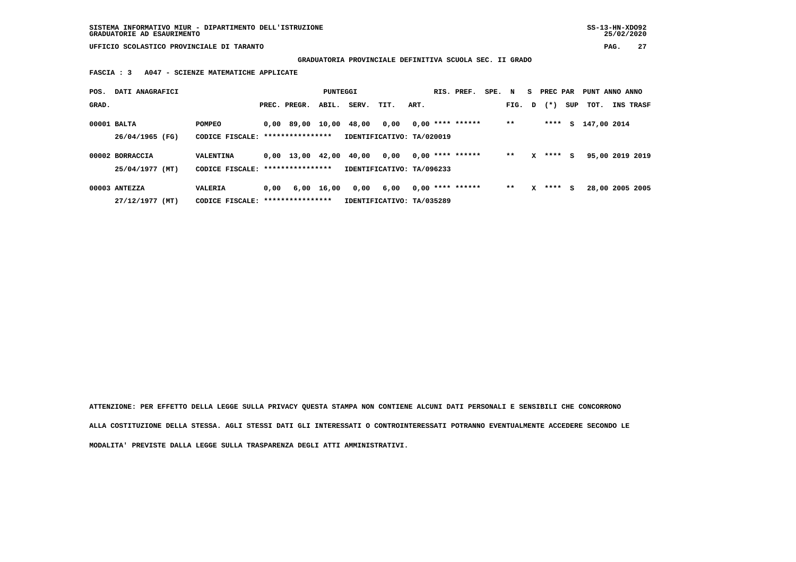**GRADUATORIA PROVINCIALE DEFINITIVA SCUOLA SEC. II GRADO**

 **FASCIA : 3 A047 - SCIENZE MATEMATICHE APPLICATE**

| POS.  | DATI ANAGRAFICI |                 |      |                  | PUNTEGGI   |                           |                           |      | RIS. PREF.         | SPE. N |        |              | S PREC PAR |          | PUNT ANNO ANNO  |           |
|-------|-----------------|-----------------|------|------------------|------------|---------------------------|---------------------------|------|--------------------|--------|--------|--------------|------------|----------|-----------------|-----------|
| GRAD. |                 |                 |      | PREC. PREGR.     | ABIL.      | SERV.                     | TIT.                      | ART. |                    |        | FIG. D |              | $(* )$     | SUP      | тот.            | INS TRASF |
|       | 00001 BALTA     | POMPEO          |      | 0,00 89,00 10,00 |            | 48,00                     | 0,00                      |      | $0.00$ **** ****** |        | $**$   |              | ****       | <b>S</b> | 147,00 2014     |           |
|       | 26/04/1965 (FG) | CODICE FISCALE: |      | **************** |            | IDENTIFICATIVO: TA/020019 |                           |      |                    |        |        |              |            |          |                 |           |
|       | 00002 BORRACCIA | VALENTINA       |      |                  |            | 0,00 13,00 42,00 40,00    | 0,00                      |      | $0.00$ **** ****** |        | $* *$  | $\mathbf{x}$ | $***$ S    |          | 95,00 2019 2019 |           |
|       | 25/04/1977 (MT) | CODICE FISCALE: |      | **************** |            | IDENTIFICATIVO: TA/096233 |                           |      |                    |        |        |              |            |          |                 |           |
|       | 00003 ANTEZZA   | VALERIA         | 0,00 |                  | 6,00 16,00 | 0,00                      | 6,00                      |      | $0,00$ **** ****** |        | $* *$  | x            | **** S     |          | 28,00 2005 2005 |           |
|       | 27/12/1977 (MT) | CODICE FISCALE: |      | **************** |            |                           | IDENTIFICATIVO: TA/035289 |      |                    |        |        |              |            |          |                 |           |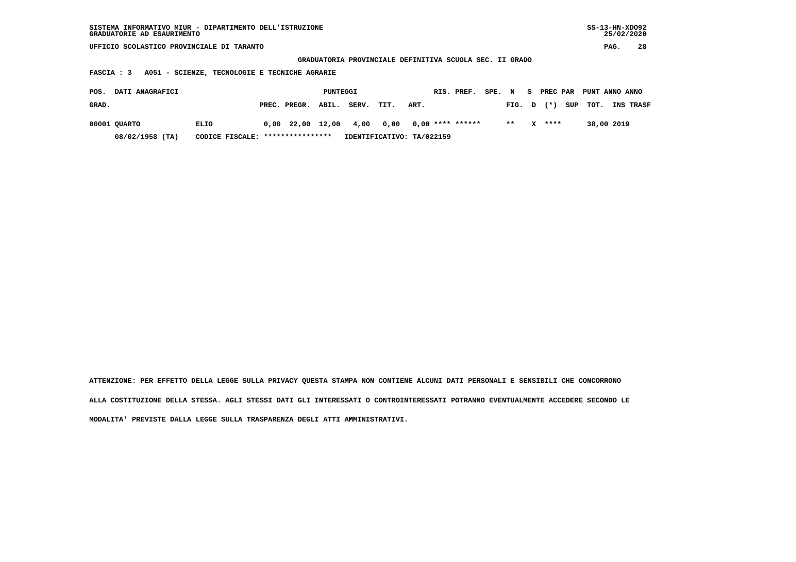| SISTEMA INFORMATIVO MIUR - DIPARTIMENTO DELL'ISTRUZIONE<br>GRADUATORIE AD ESAURIMENTO    |                       |                           |                                                         |                         | $SS-13-HN-XDO92$<br>25/02/2020 |  |  |  |  |  |  |  |  |  |
|------------------------------------------------------------------------------------------|-----------------------|---------------------------|---------------------------------------------------------|-------------------------|--------------------------------|--|--|--|--|--|--|--|--|--|
| UFFICIO SCOLASTICO PROVINCIALE DI TARANTO                                                |                       |                           |                                                         |                         | 28<br>PAG.                     |  |  |  |  |  |  |  |  |  |
|                                                                                          |                       |                           | GRADUATORIA PROVINCIALE DEFINITIVA SCUOLA SEC. II GRADO |                         |                                |  |  |  |  |  |  |  |  |  |
| A051 - SCIENZE, TECNOLOGIE E TECNICHE AGRARIE<br>FASCIA : 3                              |                       |                           |                                                         |                         |                                |  |  |  |  |  |  |  |  |  |
| DATI ANAGRAFICI<br>PUNTEGGI<br>RIS. PREF.<br>S PREC PAR PUNT ANNO ANNO<br>SPE. N<br>POS. |                       |                           |                                                         |                         |                                |  |  |  |  |  |  |  |  |  |
| GRAD.                                                                                    | ABIL.<br>PREC. PREGR. | SERV.<br>TIT.             | ART.                                                    | $(* )$<br>SUP<br>FIG. D | тот.<br><b>INS TRASF</b>       |  |  |  |  |  |  |  |  |  |
|                                                                                          |                       |                           |                                                         |                         |                                |  |  |  |  |  |  |  |  |  |
| 00001 QUARTO<br>ELIO                                                                     | $0,00$ 22,00 12,00    | 4,00<br>0,00              | $0,00$ **** ******                                      | $* *$<br>****<br>x.     | 38,00 2019                     |  |  |  |  |  |  |  |  |  |
| 08/02/1958 (TA)<br>CODICE FISCALE:                                                       | ****************      | IDENTIFICATIVO: TA/022159 |                                                         |                         |                                |  |  |  |  |  |  |  |  |  |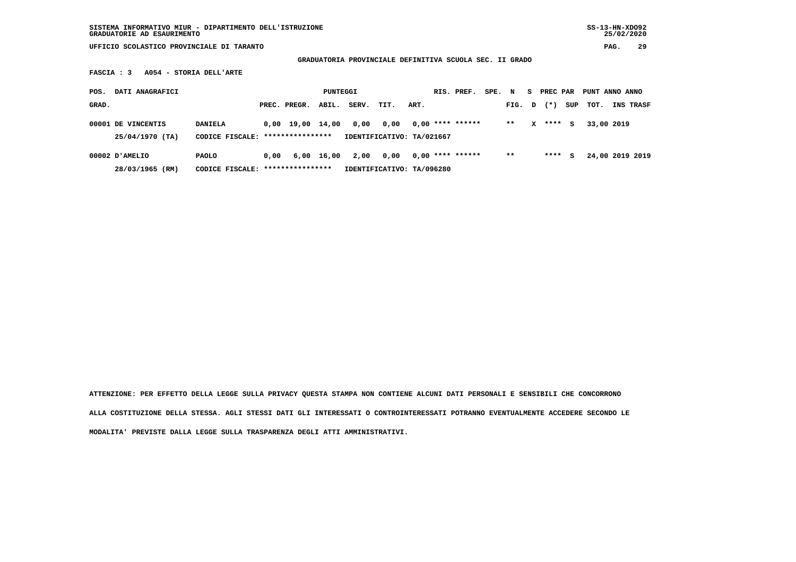**GRADUATORIA PROVINCIALE DEFINITIVA SCUOLA SEC. II GRADO**

 **FASCIA : 3 A054 - STORIA DELL'ARTE**

| POS.  | DATI ANAGRAFICI                         |                                                   |      |                                | PUNTEGGI   |       |                                   |      | RIS. PREF.         | SPE. | N     | s      | PREC PAR |     | PUNT ANNO ANNO  |           |
|-------|-----------------------------------------|---------------------------------------------------|------|--------------------------------|------------|-------|-----------------------------------|------|--------------------|------|-------|--------|----------|-----|-----------------|-----------|
| GRAD. |                                         |                                                   |      | PREC. PREGR.                   | ABIL.      | SERV. | TIT.                              | ART. |                    |      | FIG.  | $\Box$ | $(* )$   | SUP | тот.            | INS TRASF |
|       | 00001 DE VINCENTIS<br>$25/04/1970$ (TA) | <b>DANIELA</b><br>CODICE FISCALE:                 |      | 0,00 19,00<br>**************** | 14,00      | 0,00  | 0,00<br>IDENTIFICATIVO: TA/021667 |      | $0.00$ **** ****** |      | $***$ | x      | ****     | s   | 33,00 2019      |           |
|       | 00002 D'AMELIO<br>28/03/1965 (RM)       | <b>PAOLO</b><br>CODICE FISCALE: ***************** | 0,00 |                                | 6,00 16,00 | 2,00  | 0.00<br>IDENTIFICATIVO: TA/096280 |      | $0.00$ **** ****** |      | $* *$ |        | ****     | s   | 24,00 2019 2019 |           |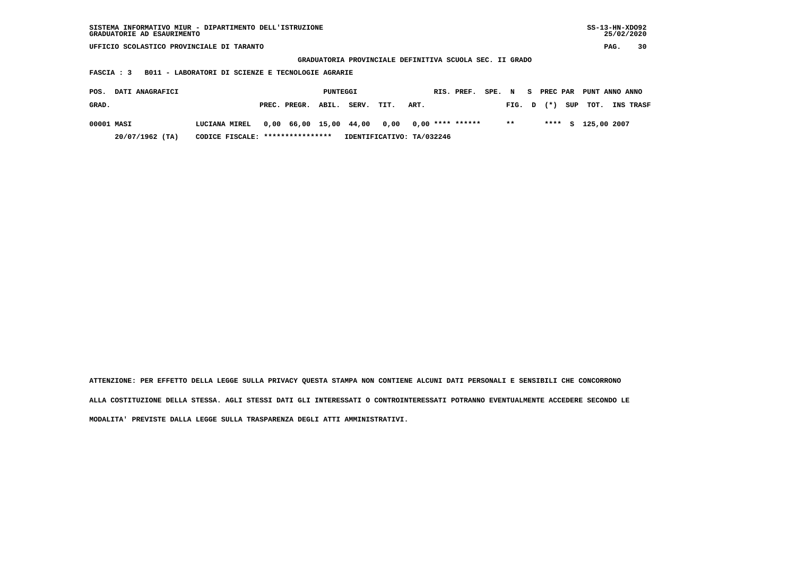| SISTEMA INFORMATIVO MIUR - DIPARTIMENTO DELL'ISTRUZIONE<br>GRADUATORIE AD ESAURIMENTO                        |                                   |                        |          |                           |      |      |  |                    |        |        |    |          |     | $SS-13-HN-XDO92$ |      | 25/02/2020       |
|--------------------------------------------------------------------------------------------------------------|-----------------------------------|------------------------|----------|---------------------------|------|------|--|--------------------|--------|--------|----|----------|-----|------------------|------|------------------|
| UFFICIO SCOLASTICO PROVINCIALE DI TARANTO                                                                    |                                   |                        |          |                           |      |      |  |                    |        |        |    |          |     |                  | PAG. | 30               |
| GRADUATORIA PROVINCIALE DEFINITIVA SCUOLA SEC. II GRADO<br>B011 - LABORATORI DI SCIENZE E TECNOLOGIE AGRARIE |                                   |                        |          |                           |      |      |  |                    |        |        |    |          |     |                  |      |                  |
| FASCIA : 3                                                                                                   |                                   |                        |          |                           |      |      |  |                    |        |        |    |          |     |                  |      |                  |
|                                                                                                              |                                   |                        |          |                           |      |      |  |                    |        |        |    |          |     |                  |      |                  |
| DATI ANAGRAFICI<br>POS.                                                                                      |                                   |                        | PUNTEGGI |                           |      |      |  | RIS. PREF.         | SPE. N |        | S. | PREC PAR |     | PUNT ANNO ANNO   |      |                  |
| GRAD.                                                                                                        |                                   | PREC. PREGR.           | ABIL.    | SERV.                     | TIT. | ART. |  |                    |        | FIG. D |    | $(*)$    | SUP | TOT.             |      | <b>INS TRASF</b> |
| 00001 MASI                                                                                                   | LUCIANA MIREL                     | 0,00 66,00 15,00 44,00 |          |                           | 0,00 |      |  | $0,00$ **** ****** |        | $***$  |    | ****     |     | S 125,00 2007    |      |                  |
|                                                                                                              |                                   |                        |          |                           |      |      |  |                    |        |        |    |          |     |                  |      |                  |
| $20/07/1962$ (TA)                                                                                            | CODICE FISCALE: ***************** |                        |          | IDENTIFICATIVO: TA/032246 |      |      |  |                    |        |        |    |          |     |                  |      |                  |